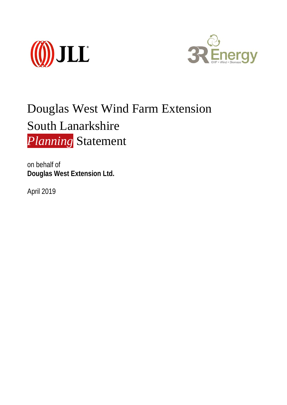



# Douglas West Wind Farm Extension South Lanarkshire *Planning* Statement

on behalf of **Douglas West Extension Ltd.**

April 2019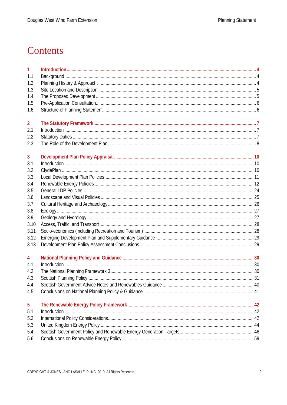# Contents

| 1              |  |
|----------------|--|
| 1.1            |  |
| 1.2            |  |
| 1.3            |  |
| 1.4            |  |
| 1.5            |  |
| 1.6            |  |
| $\overline{2}$ |  |
| 2.1            |  |
| 2.2            |  |
| 2.3            |  |
| 3              |  |
| 3.1            |  |
| 3.2            |  |
| 3.3            |  |
| 3.4            |  |
| 3.5            |  |
| 3.6            |  |
| 3.7            |  |
| 3.8            |  |
| 3.9            |  |
| 3.10           |  |
| 3.11           |  |
| 3.12           |  |
| 3.13           |  |
| 4              |  |
| 4.1            |  |
| 4.2            |  |
| 4.3            |  |
| 4.4            |  |
| 4.5            |  |
| 5              |  |
| 5.1            |  |
| 5.2            |  |
| 5.3            |  |
| 5.4            |  |
| 5.6            |  |
|                |  |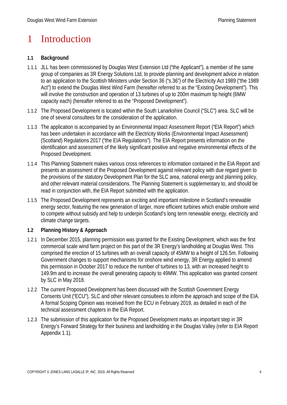### 1 Introduction

#### **1.1 Background**

- 1.1.1 JLL has been commissioned by Douglas West Extension Ltd ("the Applicant"), a member of the same group of companies as 3R Energy Solutions Ltd, to provide planning and development advice in relation to an application to the Scottish Ministers under Section 36 ("s.36") of the Electricity Act 1989 ("the 1989 Act") to extend the Douglas West Wind Farm (hereafter referred to as the "Existing Development"). This will involve the construction and operation of 13 turbines of up to 200m maximum tip height (6MW capacity each) (hereafter referred to as the "Proposed Development").
- 1.1.2 The Proposed Development is located within the South Lanarkshire Council ("SLC") area. SLC will be one of several consultees for the consideration of the application.
- 1.1.3 The application is accompanied by an Environmental Impact Assessment Report ("EIA Report") which has been undertaken in accordance with the Electricity Works (Environmental Impact Assessment) (Scotland) Regulations 2017 ("the EIA Regulations"). The EIA Report presents information on the identification and assessment of the likely significant positive and negative environmental effects of the Proposed Development.
- 1.1.4 This Planning Statement makes various cross references to information contained in the EIA Report and presents an assessment of the Proposed Development against relevant policy with due regard given to the provisions of the statutory Development Plan for the SLC area, national energy and planning policy, and other relevant material considerations. The Planning Statement is supplementary to, and should be read in conjunction with, the EIA Report submitted with the application.
- 1.1.5 The Proposed Development represents an exciting and important milestone in Scotland's renewable energy sector, featuring the new generation of larger, more efficient turbines which enable onshore wind to compete without subsidy and help to underpin Scotland's long term renewable energy, electricity and climate change targets.

#### **1.2 Planning History & Approach**

- 1.2.1 In December 2015, planning permission was granted for the Existing Development, which was the first commercial scale wind farm project on this part of the 3R Energy's landholding at Douglas West. This comprised the erection of 15 turbines with an overall capacity of 45MW to a height of 126.5m. Following Government changes to support mechanisms for onshore wind energy, 3R Energy applied to amend this permission in October 2017 to reduce the number of turbines to 13, with an increased height to 149.9m and to increase the overall generating capacity to 49MW. This application was granted consent by SLC in May 2018.
- 1.2.2 The current Proposed Development has been discussed with the Scottish Government Energy Consents Unit ("ECU"), SLC and other relevant consultees to inform the approach and scope of the EIA. A formal Scoping Opinion was received from the ECU in February 2019, as detailed in each of the technical assessment chapters in the EIA Report.
- 1.2.3 The submission of this application for the Proposed Development marks an important step in 3R Energy's Forward Strategy for their business and landholding in the Douglas Valley (refer to EIA Report Appendix 1.1).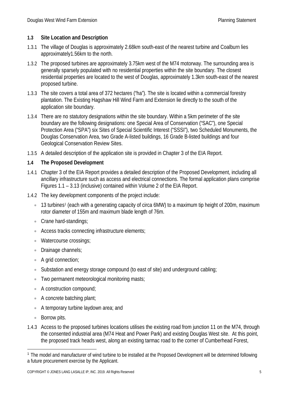#### **1.3 Site Location and Description**

- 1.3.1 The village of Douglas is approximately 2.68km south-east of the nearest turbine and Coalburn lies approximately1.56km to the north.
- 1.3.2 The proposed turbines are approximately 3.75km west of the M74 motorway. The surrounding area is generally sparsely populated with no residential properties within the site boundary. The closest residential properties are located to the west of Douglas, approximately 1.3km south-east of the nearest proposed turbine.
- 1.3.3 The site covers a total area of 372 hectares ("ha"). The site is located within a commercial forestry plantation. The Existing Hagshaw Hill Wind Farm and Extension lie directly to the south of the application site boundary.
- 1.3.4 There are no statutory designations within the site boundary. Within a 5km perimeter of the site boundary are the following designations: one Special Area of Conservation ("SAC"), one Special Protection Area ("SPA") six Sites of Special Scientific Interest ("SSSI"), two Scheduled Monuments, the Douglas Conservation Area, two Grade A-listed buildings, 16 Grade B-listed buildings and four Geological Conservation Review Sites.
- 1.3.5 A detailed description of the application site is provided in Chapter 3 of the EIA Report.

#### **1.4 The Proposed Development**

- 1.4.1 Chapter 3 of the EIA Report provides a detailed description of the Proposed Development, including all ancillary infrastructure such as access and electrical connections. The formal application plans comprise Figures 1.1 – 3.13 (inclusive) contained within Volume 2 of the EIA Report.
- 1.4.2 The key development components of the project include:
	- $\bullet$  [1](#page-5-0)3 turbines<sup>1</sup> (each with a generating capacity of circa 6MW) to a maximum tip height of 200m, maximum rotor diameter of 155m and maximum blade length of 76m.
	- Crane hard-standings;
	- Access tracks connecting infrastructure elements;
	- Watercourse crossings;
	- Drainage channels;
	- A grid connection;
	- Substation and energy storage compound (to east of site) and underground cabling;
	- Two permanent meteorological monitoring masts;
	- A construction compound;
	- A concrete batching plant:
	- A temporary turbine laydown area; and
	- Borrow pits.
- 1.4.3 Access to the proposed turbines locations utilises the existing road from junction 11 on the M74, through the consented industrial area (M74 Heat and Power Park) and existing Douglas West site. At this point, the proposed track heads west, along an existing tarmac road to the corner of Cumberhead Forest,

<span id="page-5-0"></span><sup>&</sup>lt;u>.</u> <sup>1</sup> The model and manufacturer of wind turbine to be installed at the Proposed Development will be determined following a future procurement exercise by the Applicant.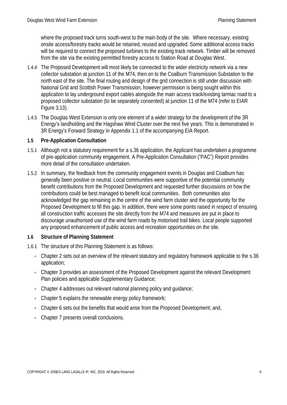where the proposed track turns south-west to the main body of the site. Where necessary, existing onsite access/forestry tracks would be retained, reused and upgraded. Some additional access tracks will be required to connect the proposed turbines to the existing track network. Timber will be removed from the site via the existing permitted forestry access to Station Road at Douglas West.

- 1.4.4 The Proposed Development will most likely be connected to the wider electricity network via a new collector substation at junction 11 of the M74, then on to the Coalburn Transmission Substation to the north east of the site. The final routing and design of the grid connection is still under discussion with National Grid and Scottish Power Transmission, however permission is being sought within this application to lay underground export cables alongside the main access track/existing tarmac road to a proposed collector substation (to be separately consented) at junction 11 of the M74 (refer to EIAR Figure 3.13).
- 1.4.5 The Douglas West Extension is only one element of a wider strategy for the development of the 3R Energy's landholding and the Hagshaw Wind Cluster over the next five years. This is demonstrated in 3R Energy's Forward Strategy in Appendix 1.1 of the accompanying EIA Report.

#### **1.5 Pre-Application Consultation**

- 1.5.1 Although not a statutory requirement for a s.36 application, the Applicant has undertaken a programme of pre-application community engagement. A Pre-Application Consultation ("PAC") Report provides more detail of the consultation undertaken.
- 1.5.2 In summary, the feedback from the community engagement events in Douglas and Coalburn has generally been positive or neutral. Local communities were supportive of the potential community benefit contributions from the Proposed Development and requested further discussions on how the contributions could be best managed to benefit local communities. Both communities also acknowledged the gap remaining in the centre of the wind farm cluster and the opportunity for the Proposed Development to fill this gap. In addition, there were some points raised in respect of ensuring all construction traffic accesses the site directly from the M74 and measures are put in place to discourage unauthorised use of the wind farm roads by motorised trail bikes. Local people supported any proposed enhancement of public access and recreation opportunities on the site.

#### **1.6 Structure of Planning Statement**

- 1.6.1 The structure of this Planning Statement is as follows:
	- Chapter 2 sets out an overview of the relevant statutory and regulatory framework applicable to the s.36 application;
	- Chapter 3 provides an assessment of the Proposed Development against the relevant Development Plan policies and applicable Supplementary Guidance;
	- Chapter 4 addresses out relevant national planning policy and guidance;
	- Chapter 5 explains the renewable energy policy framework;
	- Chapter 6 sets out the benefits that would arise from the Proposed Development; and,
	- Chapter 7 presents overall conclusions.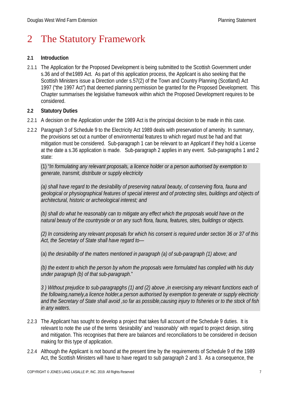# 2 The Statutory Framework

#### **2.1 Introduction**

2.1.1 The Application for the Proposed Development is being submitted to the Scottish Government under s.36 and of the1989 Act. As part of this application process, the Applicant is also seeking that the Scottish Ministers issue a Direction under s.57(2) of the Town and Country Planning (Scotland) Act 1997 ("the 1997 Act") that deemed planning permission be granted for the Proposed Development. This Chapter summarises the legislative framework within which the Proposed Development requires to be considered.

#### **2.2 Statutory Duties**

- 2.2.1 A decision on the Application under the 1989 Act is the principal decision to be made in this case.
- 2.2.2 Paragraph 3 of Schedule 9 to the Electricity Act 1989 deals with preservation of amenity. In summary, the provisions set out a number of environmental features to which regard must be had and that mitigation must be considered. Sub-paragraph 1 can be relevant to an Applicant if they hold a License at the date a s.36 application is made. Sub-paragraph 2 applies in any event. Sub-paragraphs 1 and 2 state:

(1) "*In formulating any relevant proposals, a licence holder or a person authorised by exemption to generate, transmit, distribute or supply electricity*

*(a) shall have regard to the desirability of preserving natural beauty, of conserving flora, fauna and geological or physiographical features of special interest and of protecting sites, buildings and objects of architectural, historic or archeological interest; and*

*(b) shall do what he reasonably can to mitigate any effect which the proposals would have on the natural beauty of the countryside or on any such flora, fauna, features, sites, buildings or objects.*

*(2) In considering any relevant proposals for which his consent is required under section 36 or 37 of this Act, the Secretary of State shall have regard to*—

(a) *the desirability of the matters mentioned in paragraph (a) of sub-paragraph (1) above; and*

*(b) the extent to which the person by whom the proposals were formulated has complied with his duty under paragraph (b) of that sub-paragraph*."

*3 ) Without prejudice to sub-paragrapghs (1) and (2) above ,in exercising any relevant functions each of the following,namely,a licence holder,a person authorised by exemption to generate or supply electricity and the Secretary of State shall avoid ,so far as possible,causing injury to fisheries or to the stock of fish in any waters*.

- 2.2.3 The Applicant has sought to develop a project that takes full account of the Schedule 9 duties. It is relevant to note the use of the terms 'desirability' and 'reasonably' with regard to project design, siting and mitigation. This recognises that there are balances and reconciliations to be considered in decision making for this type of application.
- 2.2.4 Although the Applicant is not bound at the present time by the requirements of Schedule 9 of the 1989 Act, the Scottish Ministers will have to have regard to sub paragraph 2 and 3. As a consequence, the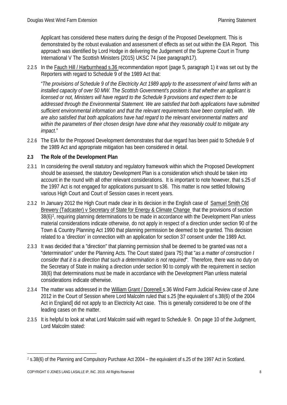Applicant has considered these matters during the design of the Proposed Development. This is demonstrated by the robust evaluation and assessment of effects as set out within the EIA Report. This approach was identified by Lord Hodge in delivering the Judgement of the Supreme Court in Trump International V The Scottish Ministers {2015} UKSC 74 (see paragraph17).

2.2.5 In the Fauch Hill / Harburnhead s.36 recommendation report (page 5, paragraph 1) it was set out by the Reporters with regard to Schedule 9 of the 1989 Act that:

"*The provisions of Schedule 9 of the Electricity Act 1989 apply to the assessment of wind farms with an installed capacity of over 50 MW. The Scottish Government's position is that whether an applicant is licensed or not, Ministers will have regard to the Schedule 9 provisions and expect them to be addressed through the Environmental Statement. We are satisfied that both applications have submitted sufficient environmental information and that the relevant requirements have been complied with. We are also satisfied that both applications have had regard to the relevant environmental matters and within the parameters of their chosen design have done what they reasonably could to mitigate any impact*."

2.2.6 The EIA for the Proposed Development demonstrates that due regard has been paid to Schedule 9 of the 1989 Act and appropriate mitigation has been considered in detail.

#### **2.3 The Role of the Development Plan**

- 2.3.1 In considering the overall statutory and regulatory framework within which the Proposed Development should be assessed, the statutory Development Plan is a consideration which should be taken into account in the round with all other relevant considerations. It is important to note however, that s.25 of the 1997 Act is not engaged for applications pursuant to s36. This matter is now settled following various High Court and Court of Session cases in recent years.
- 2.3.2 In January 2012 the High Court made clear in its decision in the English case of Samuel Smith Old Brewery (Tadcaster) v Secretary of State for Energy & Climate Change that the provisions of section 38(6[\)2](#page-8-0), requiring planning determinations to be made in accordance with the Development Plan unless material considerations indicate otherwise, do not apply in respect of a direction under section 90 of the Town & Country Planning Act 1990 that planning permission be deemed to be granted. This decision related to a 'direction' in connection with an application for section 37 consent under the 1989 Act.
- 2.3.3 It was decided that a "direction" that planning permission shall be deemed to be granted was not a "determination" under the Planning Acts. The Court stated (para 75) that "*as a matter of construction I consider that it is a direction that such a determination is not required*". Therefore, there was no duty on the Secretary of State in making a direction under section 90 to comply with the requirement in section 38(6) that determinations must be made in accordance with the Development Plan unless material considerations indicate otherwise.
- 2.3.4 The matter was addressed in the William Grant / Dorenell s.36 Wind Farm Judicial Review case of June 2012 in the Court of Session where Lord Malcolm ruled that s.25 [the equivalent of s.38(6) of the 2004 Act in England] did not apply to an Electricity Act case. This is generally considered to be one of the leading cases on the matter.
- 2.3.5 It is helpful to look at what Lord Malcolm said with regard to Schedule 9. On page 10 of the Judgment, Lord Malcolm stated:

<span id="page-8-0"></span> <sup>2</sup> s.38(6) of the Planning and Compulsory Purchase Act 2004 – the equivalent of s.25 of the 1997 Act in Scotland.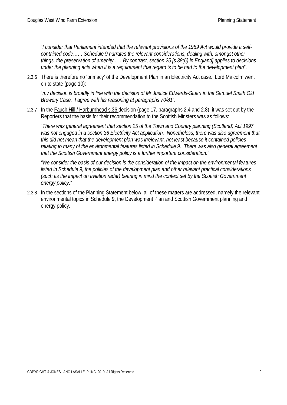"*I consider that Parliament intended that the relevant provisions of the 1989 Act would provide a selfcontained code…….Schedule 9 narrates the relevant considerations, dealing with, amongst other things, the preservation of amenity……By contrast, section 25 [s.38(6) in England] applies to decisions under the planning acts when it is a requirement that regard is to be had to the development plan*".

2.3.6 There is therefore no 'primacy' of the Development Plan in an Electricity Act case. Lord Malcolm went on to state (page 10):

"*my decision is broadly in line with the decision of Mr Justice Edwards-Stuart in the Samuel Smith Old Brewery Case. I agree with his reasoning at paragraphs 70/81*".

2.3.7 In the Fauch Hill / Harburnhead s.36 decision (page 17, paragraphs 2.4 and 2.8), it was set out by the Reporters that the basis for their recommendation to the Scottish Minsters was as follows:

"*There was general agreement that section 25 of the Town and Country planning (Scotland) Act 1997*  was not engaged in a section 36 Electricity Act application. Nonetheless, there was also agreement that *this did not mean that the development plan was irrelevant, not least because it contained policies*  relating to many of the environmental features listed in Schedule 9. There was also general agreement *that the Scottish Government energy policy is a further important consideration."* 

*"We consider the basis of our decision is the consideration of the impact on the environmental features listed in Schedule 9, the policies of the development plan and other relevant practical considerations (such as the impact on aviation radar) bearing in mind the context set by the Scottish Government energy policy*."

2.3.8 In the sections of the Planning Statement below, all of these matters are addressed, namely the relevant environmental topics in Schedule 9, the Development Plan and Scottish Government planning and energy policy.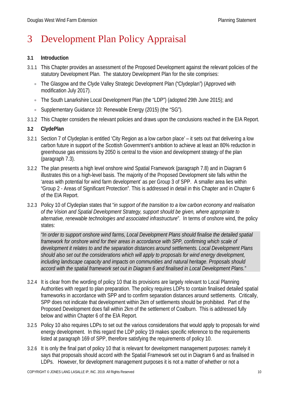# 3 Development Plan Policy Appraisal

#### **3.1 Introduction**

- 3.1.1 This Chapter provides an assessment of the Proposed Development against the relevant policies of the statutory Development Plan. The statutory Development Plan for the site comprises:
	- The Glasgow and the Clyde Valley Strategic Development Plan ("Clydeplan") (Approved with modification July 2017).
	- The South Lanarkshire Local Development Plan (the "LDP") (adopted 29th June 2015); and
	- Supplementary Guidance 10: Renewable Energy (2015) (the "SG").
- 3.1.2 This Chapter considers the relevant policies and draws upon the conclusions reached in the EIA Report.

#### **3.2 ClydePlan**

- 3.2.1 Section 7 of Clydeplan is entitled 'City Region as a low carbon place' it sets out that delivering a low carbon future in support of the Scottish Government's ambition to achieve at least an 80% reduction in greenhouse gas emissions by 2050 is central to the vision and development strategy of the plan (paragraph 7.3).
- 3.2.2 The plan presents a high level onshore wind Spatial Framework (paragraph 7.8) and in Diagram 6 illustrates this on a high-level basis. The majority of the Proposed Development site falls within the 'areas with potential for wind farm development' as per Group 3 of SPP. A smaller area lies within "Group 2 - Areas of Significant Protection". This is addressed in detail in this Chapter and in Chapter 6 of the EIA Report.
- 3.2.3 Policy 10 of Clydeplan states that "*in support of the transition to a low carbon economy and realisation of the Vision and Spatial Development Strategy, support should be given, where appropriate to alternative, renewable technologies and associated infrastructure*". In terms of onshore wind, the policy states:

*"In order to support onshore wind farms, Local Development Plans should finalise the detailed spatial framework for onshore wind for their areas in accordance with SPP, confirming which scale of development it relates to and the separation distances around settlements. Local Development Plans should also set out the considerations which will apply to proposals for wind energy development, including landscape capacity and impacts on communities and natural heritage. Proposals should accord with the spatial framework set out in Diagram 6 and finalised in Local Development Plans."*

- 3.2.4 It is clear from the wording of policy 10 that its provisions are largely relevant to Local Planning Authorities with regard to plan preparation. The policy requires LDPs to contain finalised detailed spatial frameworks in accordance with SPP and to confirm separation distances around settlements. Critically, SPP does not indicate that development within 2km of settlements should be prohibited. Part of the Proposed Development does fall within 2km of the settlement of Coalburn. This is addressed fully below and within Chapter 6 of the EIA Report.
- 3.2.5 Policy 10 also requires LDPs to set out the various considerations that would apply to proposals for wind energy development. In this regard the LDP policy 19 makes specific reference to the requirements listed at paragraph 169 of SPP, therefore satisfying the requirements of policy 10.
- 3.2.6 It is only the final part of policy 10 that is relevant for development management purposes: namely it says that proposals should accord with the Spatial Framework set out in Diagram 6 and as finalised in LDPs. However, for development management purposes it is not a matter of whether or not a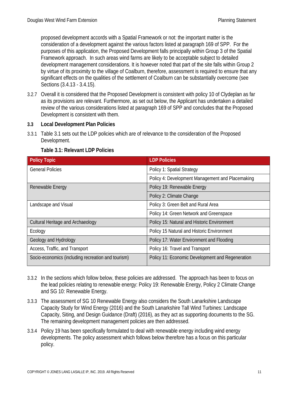proposed development accords with a Spatial Framework or not: the important matter is the consideration of a development against the various factors listed at paragraph 169 of SPP. For the purposes of this application, the Proposed Development falls principally within Group 3 of the Spatial Framework approach. In such areas wind farms are likely to be acceptable subject to detailed development management considerations. It is however noted that part of the site falls within Group 2 by virtue of its proximity to the village of Coalburn, therefore, assessment is required to ensure that any significant effects on the qualities of the settlement of Coalburn can be substantially overcome (see Sections (3.4.13 - 3.4.15).

3.2.7 Overall it is considered that the Proposed Development is consistent with policy 10 of Clydeplan as far as its provisions are relevant. Furthermore, as set out below, the Applicant has undertaken a detailed review of the various considerations listed at paragraph 169 of SPP and concludes that the Proposed Development is consistent with them.

#### **3.3 Local Development Plan Policies**

3.3.1 Table 3.1 sets out the LDP policies which are of relevance to the consideration of the Proposed Development.

| <b>Policy Topic</b>                                | <b>LDP Policies</b>                              |
|----------------------------------------------------|--------------------------------------------------|
| <b>General Policies</b>                            | Policy 1: Spatial Strategy                       |
|                                                    | Policy 4: Development Management and Placemaking |
| Renewable Energy                                   | Policy 19: Renewable Energy                      |
|                                                    | Policy 2: Climate Change                         |
| Landscape and Visual                               | Policy 3: Green Belt and Rural Area              |
|                                                    | Policy 14: Green Network and Greenspace          |
| <b>Cultural Heritage and Archaeology</b>           | Policy 15: Natural and Historic Environment      |
| Ecology                                            | Policy 15 Natural and Historic Environment       |
| Geology and Hydrology                              | Policy 17: Water Environment and Flooding        |
| Access, Traffic, and Transport                     | Policy 16: Travel and Transport                  |
| Socio-economics (including recreation and tourism) | Policy 11: Economic Development and Regeneration |

#### **Table 3.1: Relevant LDP Policies**

- 3.3.2 In the sections which follow below, these policies are addressed. The approach has been to focus on the lead policies relating to renewable energy: Policy 19: Renewable Energy, Policy 2 Climate Change and SG 10: Renewable Energy.
- 3.3.3 The assessment of SG 10 Renewable Energy also considers the South Lanarkshire Landscape Capacity Study for Wind Energy (2016) and the South Lanarkshire Tall Wind Turbines: Landscape Capacity, Siting, and Design Guidance (Draft) (2016), as they act as supporting documents to the SG. The remaining development management policies are then addressed.
- 3.3.4 Policy 19 has been specifically formulated to deal with renewable energy including wind energy developments. The policy assessment which follows below therefore has a focus on this particular policy.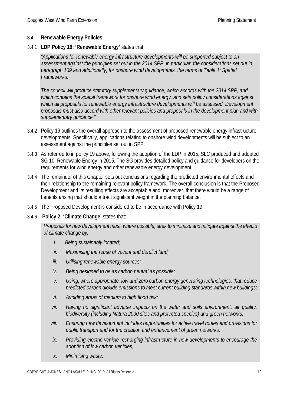#### **3.4 Renewable Energy Policies**

3.4.1 **LDP Policy 19: 'Renewable Energy'** states that:

*"Applications for renewable energy infrastructure developments will be supported subject to an assessment against the principles set out in the 2014 SPP, in particular, the considerations set out in paragraph 169 and additionally, for onshore wind developments, the terms of Table 1: Spatial Frameworks.*

*The council will produce statutory supplementary guidance, which accords with the 2014 SPP, and which contains the spatial framework for onshore wind energy, and sets policy considerations against*  which all proposals for renewable energy infrastructure developments will be assessed. Development *proposals must also accord with other relevant policies and proposals in the development plan and with supplementary guidance."*

- 3.4.2 Policy 19 outlines the overall approach to the assessment of proposed renewable energy infrastructure developments. Specifically, applications relating to onshore wind developments will be subject to an assessment against the principles set out in SPP.
- 3.4.3 As referred to in policy 19 above, following the adoption of the LDP in 2015, SLC produced and adopted SG 10: Renewable Energy in 2015. The SG provides detailed policy and guidance for developers on the requirements for wind energy and other renewable energy development.
- 3.4.4 The remainder of this Chapter sets out conclusions regarding the predicted environmental effects and their relationship to the remaining relevant policy framework. The overall conclusion is that the Proposed Development and its resulting effects are acceptable and, moreover, that there would be a range of benefits arising that should attract significant weight in the planning balance.
- 3.4.5 The Proposed Development is considered to be in accordance with Policy 19.
- 3.4.6 **Policy 2: 'Climate Change'** states that:

*Proposals for new development must, where possible, seek to minimise and mitigate against the effects of climate change by;*

- *i. Being sustainably located;*
- *ii. Maximising the reuse of vacant and derelict land;*
- *iii. Utilising renewable energy sources;*
- *iv. Being designed to be as carbon neutral as possible;*
- *v. Using, where appropriate, low and zero carbon energy generating technologies, that reduce predicted carbon dioxide emissions to meet current building standards within new buildings;*
- *vi. Avoiding areas of medium to high flood risk;*
- *vii. Having no significant adverse impacts on the water and soils environment, air quality, biodiversity (including Natura 2000 sites and protected species) and green networks;*
- *viii. Ensuring new development includes opportunities for active travel routes and provisions for public transport and for the creation and enhancement of green networks;*
- *ix. Providing electric vehicle recharging infrastructure in new developments to encourage the adoption of low carbon vehicles;*
- *x. Minimising waste.*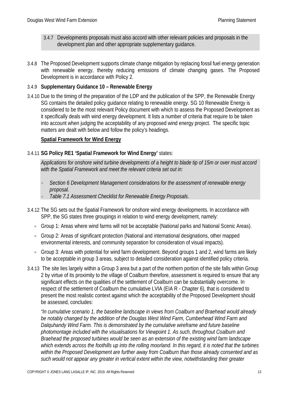- 3.4.7 Developments proposals must also accord with other relevant policies and proposals in the development plan and other appropriate supplementary guidance.
- 3.4.8 The Proposed Development supports climate change mitigation by replacing fossil fuel energy generation with renewable energy, thereby reducing emissions of climate changing gases. The Proposed Development is in accordance with Policy 2.

#### 3.4.9 **Supplementary Guidance 10 – Renewable Energy**

3.4.10 Due to the timing of the preparation of the LDP and the publication of the SPP, the Renewable Energy SG contains the detailed policy guidance relating to renewable energy. SG 10 Renewable Energy is considered to be the most relevant Policy document with which to assess the Proposed Development as it specifically deals with wind energy development. It lists a number of criteria that require to be taken into account when judging the acceptability of any proposed wind energy project. The specific topic matters are dealt with below and follow the policy's headings.

#### **Spatial Framework for Wind Energy**

#### 3.4.11 **SG Policy RE1 'Spatial Framework for Wind Energy'** states:

*Applications for onshore wind turbine developments of a height to blade tip of 15m or over must accord with the Spatial Framework and meet the relevant criteria set out in:* 

- *Section 6 Development Management considerations for the assessment of renewable energy proposal.*
- *Table 7.1 Assessment Checklist for Renewable Energy Proposals*.
- 3.4.12 The SG sets out the Spatial Framework for onshore wind energy developments. In accordance with SPP, the SG states three groupings in relation to wind energy development, namely:
	- Group 1: Areas where wind farms will not be acceptable (National parks and National Scenic Areas).
	- Group 2: Areas of significant protection (National and international designations, other mapped environmental interests, and community separation for consideration of visual impacts).
	- Group 3: Areas with potential for wind farm development. Beyond groups 1 and 2, wind farms are likely to be acceptable in group 3 areas, subject to detailed consideration against identified policy criteria.
- 3.4.13 The site lies largely within a Group 3 area but a part of the northern portion of the site falls within Group 2 by virtue of its proximity to the village of Coalburn therefore, assessment is required to ensure that any significant effects on the qualities of the settlement of Coalburn can be substantially overcome. In respect of the settlement of Coalburn the cumulative LVIA (EIA R - Chapter 6), that is considered to present the most realistic context against which the acceptability of the Proposed Development should be assessed, concludes:

*"In cumulative scenario 1, the baseline landscape in views from Coalburn and Braehead would already be notably changed by the addition of the Douglas West Wind Farm, Cumberhead Wind Farm and Dalquhandy Wind Farm. This is demonstrated by the cumulative wireframe and future baseline photomontage included with the visualisations for Viewpoint 1. As such, throughout Coalburn and Braehead the proposed turbines would be seen as an extension of the existing wind farm landscape*  which extends across the foothills up into the rolling moorland. In this regard, it is noted that the turbines *within the Proposed Development are further away from Coalburn than those already consented and as such would not appear any greater in vertical extent within the view, notwithstanding their greater*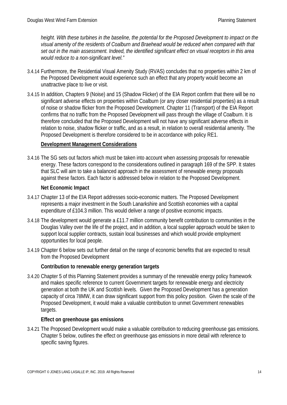*height. With these turbines in the baseline, the potential for the Proposed Development to impact on the visual amenity of the residents of Coalburn and Braehead would be reduced when compared with that set out in the main assessment. Indeed, the identified significant effect on visual receptors in this area would reduce to a non-significant level."*

- 3.4.14 Furthermore, the Residential Visual Amenity Study (RVAS) concludes that no properties within 2 km of the Proposed Development would experience such an effect that any property would become an unattractive place to live or visit.
- 3.4.15 In addition, Chapters 9 (Noise) and 15 (Shadow Flicker) of the EIA Report confirm that there will be no significant adverse effects on properties within Coalburn (or any closer residential properties) as a result of noise or shadow flicker from the Proposed Development. Chapter 11 (Transport) of the EIA Report confirms that no traffic from the Proposed Development will pass through the village of Coalburn. It is therefore concluded that the Proposed Development will not have any significant adverse effects in relation to noise, shadow flicker or traffic, and as a result, in relation to overall residential amenity. The Proposed Development is therefore considered to be in accordance with policy RE1.

#### **Development Management Considerations**

3.4.16 The SG sets out factors which must be taken into account when assessing proposals for renewable energy. These factors correspond to the considerations outlined in paragraph 169 of the SPP. It states that SLC will aim to take a balanced approach in the assessment of renewable energy proposals against these factors. Each factor is addressed below in relation to the Proposed Development.

#### **Net Economic Impact**

- 3.4.17 Chapter 13 of the EIA Report addresses socio-economic matters. The Proposed Development represents a major investment in the South Lanarkshire and Scottish economies with a capital expenditure of £104.3 million. This would deliver a range of positive economic impacts.
- 3.4.18 The development would generate a £11.7 million community benefit contribution to communities in the Douglas Valley over the life of the project, and in addition, a local supplier approach would be taken to support local supplier contracts, sustain local businesses and which would provide employment opportunities for local people.
- 3.4.19 Chapter 6 below sets out further detail on the range of economic benefits that are expected to result from the Proposed Development

#### **Contribution to renewable energy generation targets**

3.4.20 Chapter 5 of this Planning Statement provides a summary of the renewable energy policy framework and makes specific reference to current Government targets for renewable energy and electricity generation at both the UK and Scottish levels. Given the Proposed Development has a generation capacity of circa 78MW, it can draw significant support from this policy position. Given the scale of the Proposed Development, it would make a valuable contribution to unmet Government renewables targets.

#### **Effect on greenhouse gas emissions**

3.4.21 The Proposed Development would make a valuable contribution to reducing greenhouse gas emissions. Chapter 5 below, outlines the effect on greenhouse gas emissions in more detail with reference to specific saving figures.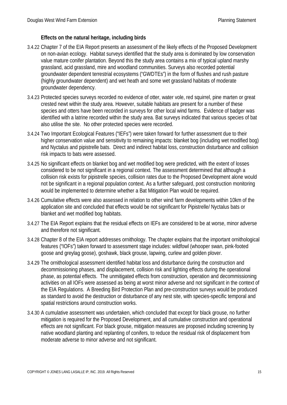#### **Effects on the natural heritage, including birds**

- 3.4.22 Chapter 7 of the EIA Report presents an assessment of the likely effects of the Proposed Development on non-avian ecology. Habitat surveys identified that the study area is dominated by low conservation value mature conifer plantation. Beyond this the study area contains a mix of typical upland marshy grassland, acid grassland, mire and woodland communities. Surveys also recorded potential groundwater dependent terrestrial ecosystems ("GWDTEs") in the form of flushes and rush pasture (highly groundwater dependent) and wet heath and some wet grassland habitats of moderate groundwater dependency.
- 3.4.23 Protected species surveys recorded no evidence of otter, water vole, red squirrel, pine marten or great crested newt within the study area. However, suitable habitats are present for a number of these species and otters have been recorded in surveys for other local wind farms. Evidence of badger was identified with a latrine recorded within the study area. Bat surveys indicated that various species of bat also utilise the site. No other protected species were recorded.
- 3.4.24 Two Important Ecological Features ("IEFs") were taken forward for further assessment due to their higher conservation value and sensitivity to remaining impacts: blanket bog (including wet modified bog) and Nyctalus and pipistrelle bats. Direct and indirect habitat loss, construction disturbance and collision risk impacts to bats were assessed.
- 3.4.25 No significant effects on blanket bog and wet modified bog were predicted, with the extent of losses considered to be not significant in a regional context. The assessment determined that although a collision risk exists for pipistrelle species, collision rates due to the Proposed Development alone would not be significant in a regional population context. As a further safeguard, post construction monitoring would be implemented to determine whether a Bat Mitigation Plan would be required.
- 3.4.26 Cumulative effects were also assessed in relation to other wind farm developments within 10km of the application site and concluded that effects would be not significant for Pipistrelle/ Nyctalus bats or blanket and wet modified bog habitats.
- 3.4.27 The EIA Report explains that the residual effects on IEFs are considered to be at worse, minor adverse and therefore not significant.
- 3.4.28 Chapter 8 of the EIA report addresses ornithology. The chapter explains that the important ornithological features ("IOFs") taken forward to assessment stage includes: wildfowl (whooper swan, pink-footed goose and greylag goose), goshawk, black grouse, lapwing, curlew and golden plover.
- 3.4.29 The ornithological assessment identified habitat loss and disturbance during the construction and decommissioning phases, and displacement, collision risk and lighting effects during the operational phase, as potential effects. The unmitigated effects from construction, operation and decommissioning activities on all IOFs were assessed as being at worst minor adverse and not significant in the context of the EIA Regulations. A Breeding Bird Protection Plan and pre-construction surveys would be produced as standard to avoid the destruction or disturbance of any nest site, with species-specific temporal and spatial restrictions around construction works.
- 3.4.30 A cumulative assessment was undertaken, which concluded that except for black grouse, no further mitigation is required for the Proposed Development, and all cumulative construction and operational effects are not significant. For black grouse, mitigation measures are proposed including screening by native woodland planting and replanting of conifers, to reduce the residual risk of displacement from moderate adverse to minor adverse and not significant.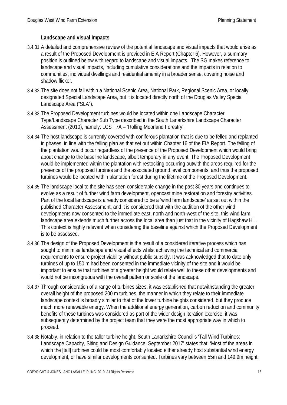#### **Landscape and visual Impacts**

- 3.4.31 A detailed and comprehensive review of the potential landscape and visual impacts that would arise as a result of the Proposed Development is provided in EIA Report (Chapter 6). However, a summary position is outlined below with regard to landscape and visual impacts. The SG makes reference to landscape and visual impacts, including cumulative considerations and the impacts in relation to communities, individual dwellings and residential amenity in a broader sense, covering noise and shadow flicker.
- 3.4.32 The site does not fall within a National Scenic Area, National Park, Regional Scenic Area, or locally designated Special Landscape Area, but it is located directly north of the Douglas Valley Special Landscape Area ("SLA").
- 3.4.33 The Proposed Development turbines would be located within one Landscape Character Type/Landscape Character Sub Type described in the South Lanarkshire Landscape Character Assessment (2010), namely: LCST 7A – 'Rolling Moorland Forestry'.
- 3.4.34 The host landscape is currently covered with coniferous plantation that is due to be felled and replanted in phases, in line with the felling plan as that set out within Chapter 16 of the EIA Report. The felling of the plantation would occur regardless of the presence of the Proposed Development which would bring about change to the baseline landscape, albeit temporary in any event. The Proposed Development would be implemented within the plantation with restocking occurring outwith the areas required for the presence of the proposed turbines and the associated ground level components, and thus the proposed turbines would be located within plantation forest during the lifetime of the Proposed Development.
- 3.4.35 The landscape local to the site has seen considerable change in the past 30 years and continues to evolve as a result of further wind farm development, opencast mine restoration and forestry activities. Part of the local landscape is already considered to be a 'wind farm landscape' as set out within the published Character Assessment, and it is considered that with the addition of the other wind developments now consented to the immediate east, north and north-west of the site, this wind farm landscape area extends much further across the local area than just that in the vicinity of Hagshaw Hill. This context is highly relevant when considering the baseline against which the Proposed Development is to be assessed.
- 3.4.36 The design of the Proposed Development is the result of a considered iterative process which has sought to minimise landscape and visual effects whilst achieving the technical and commercial requirements to ensure project viability without public subsidy. It was acknowledged that to date only turbines of up to 150 m had been consented in the immediate vicinity of the site and it would be important to ensure that turbines of a greater height would relate well to these other developments and would not be incongruous with the overall pattern or scale of the landscape.
- 3.4.37 Through consideration of a range of turbines sizes, it was established that notwithstanding the greater overall height of the proposed 200 m turbines, the manner in which they relate to their immediate landscape context is broadly similar to that of the lower turbine heights considered, but they produce much more renewable energy. When the additional energy generation, carbon reduction and community benefits of these turbines was considered as part of the wider design iteration exercise, it was subsequently determined by the project team that they were the most appropriate way in which to proceed.
- 3.4.38 Notably, in relation to the taller turbine height, South Lanarkshire Council's 'Tall Wind Turbines: Landscape Capacity, Siting and Design Guidance, September 2017' states that: 'Most of the areas in which the [tall] turbines could be most comfortably located either already host substantial wind energy development, or have similar developments consented. Turbines vary between 55m and 149.9m height.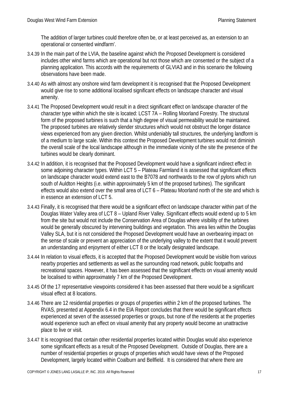The addition of larger turbines could therefore often be, or at least perceived as, an extension to an operational or consented windfarm'.

- 3.4.39 In the main part of the LVIA, the baseline against which the Proposed Development is considered includes other wind farms which are operational but not those which are consented or the subject of a planning application. This accords with the requirements of GLVIA3 and in this scenario the following observations have been made.
- 3.4.40 As with almost any onshore wind farm development it is recognised that the Proposed Development would give rise to some additional localised significant effects on landscape character and visual amenity.
- 3.4.41 The Proposed Development would result in a direct significant effect on landscape character of the character type within which the site is located: LCST 7A – Rolling Moorland Forestry. The structural form of the proposed turbines is such that a high degree of visual permeability would be maintained. The proposed turbines are relatively slender structures which would not obstruct the longer distance views experienced from any given direction. Whilst undeniably tall structures, the underlying landform is of a medium to large scale. Within this context the Proposed Development turbines would not diminish the overall scale of the local landscape although in the immediate vicinity of the site the presence of the turbines would be clearly dominant.
- 3.4.42 In addition, it is recognised that the Proposed Development would have a significant indirect effect in some adjoining character types. Within LCT 5 – Plateau Farmland it is assessed that significant effects on landscape character would extend east to the B7078 and northwards to the row of pylons which run south of Auldton Heights (i.e. within approximately 5 km of the proposed turbines). The significant effects would also extend over the small area of LCT 6 – Plateau Moorland north of the site and which is in essence an extension of LCT 5.
- 3.4.43 Finally, it is recognised that there would be a significant effect on landscape character within part of the Douglas Water Valley area of LCT 8 – Upland River Valley. Significant effects would extend up to 5 km from the site but would not include the Conservation Area of Douglas where visibility of the turbines would be generally obscured by intervening buildings and vegetation. This area lies within the Douglas Valley SLA, but it is not considered the Proposed Development would have an overbearing impact on the sense of scale or prevent an appreciation of the underlying valley to the extent that it would prevent an understanding and enjoyment of either LCT 8 or the locally designated landscape.
- 3.4.44 In relation to visual effects, it is accepted that the Proposed Development would be visible from various nearby properties and settlements as well as the surrounding road network, public footpaths and recreational spaces. However, it has been assessed that the significant effects on visual amenity would be localised to within approximately 7 km of the Proposed Development.
- 3.4.45 Of the 17 representative viewpoints considered it has been assessed that there would be a significant visual effect at 8 locations.
- 3.4.46 There are 12 residential properties or groups of properties within 2 km of the proposed turbines. The RVAS, presented at Appendix 6.4 in the EIA Report concludes that there would be significant effects experienced at seven of the assessed properties or groups, but none of the residents at the properties would experience such an effect on visual amenity that any property would become an unattractive place to live or visit.
- 3.4.47 It is recognised that certain other residential properties located within Douglas would also experience some significant effects as a result of the Proposed Development. Outside of Douglas, there are a number of residential properties or groups of properties which would have views of the Proposed Development, largely located within Coalburn and Bellfield. It is considered that where there are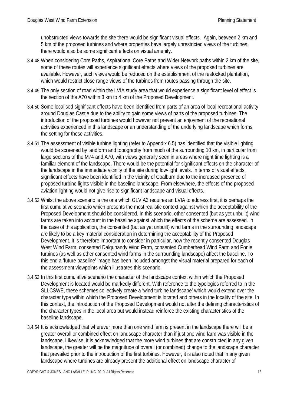unobstructed views towards the site there would be significant visual effects. Again, between 2 km and 5 km of the proposed turbines and where properties have largely unrestricted views of the turbines, there would also be some significant effects on visual amenity.

- 3.4.48 When considering Core Paths, Aspirational Core Paths and Wider Network paths within 2 km of the site, some of these routes will experience significant effects where views of the proposed turbines are available. However, such views would be reduced on the establishment of the restocked plantation, which would restrict close range views of the turbines from routes passing through the site.
- 3.4.49 The only section of road within the LVIA study area that would experience a significant level of effect is the section of the A70 within 3 km to 4 km of the Proposed Development.
- 3.4.50 Some localised significant effects have been identified from parts of an area of local recreational activity around Douglas Castle due to the ability to gain some views of parts of the proposed turbines. The introduction of the proposed turbines would however not prevent an enjoyment of the recreational activities experienced in this landscape or an understanding of the underlying landscape which forms the setting for these activities.
- 3.4.51 The assessment of visible turbine lighting (refer to Appendix 6.5) has identified that the visible lighting would be screened by landform and topography from much of the surrounding 10 km, in particular from large sections of the M74 and A70, with views generally seen in areas where night time lighting is a familiar element of the landscape. There would be the potential for significant effects on the character of the landscape in the immediate vicinity of the site during low-light levels. In terms of visual effects, significant effects have been identified in the vicinity of Coalburn due to the increased presence of proposed turbine lights visible in the baseline landscape. From elsewhere, the effects of the proposed aviation lighting would not give rise to significant landscape and visual effects.
- 3.4.52 Whilst the above scenario is the one which GLVIA3 requires an LVIA to address first, it is perhaps the first cumulative scenario which presents the most realistic context against which the acceptability of the Proposed Development should be considered. In this scenario, other consented (but as yet unbuilt) wind farms are taken into account in the baseline against which the effects of the scheme are assessed. In the case of this application, the consented (but as yet unbuilt) wind farms in the surrounding landscape are likely to be a key material consideration in determining the acceptability of the Proposed Development. It is therefore important to consider in particular, how the recently consented Douglas West Wind Farm, consented Dalquhandy Wind Farm, consented Cumberhead Wind Farm and Poniel turbines (as well as other consented wind farms in the surrounding landscape) affect the baseline. To this end a 'future baseline' image has been included amongst the visual material prepared for each of the assessment viewpoints which illustrates this scenario.
- 3.4.53 In this first cumulative scenario the character of the landscape context within which the Proposed Development is located would be markedly different. With reference to the typologies referred to in the SLLCSWE, these schemes collectively create a 'wind turbine landscape' which would extend over the character type within which the Proposed Development is located and others in the locality of the site. In this context, the introduction of the Proposed Development would not alter the defining characteristics of the character types in the local area but would instead reinforce the existing characteristics of the baseline landscape.
- 3.4.54 It is acknowledged that wherever more than one wind farm is present in the landscape there will be a greater overall or combined effect on landscape character than if just one wind farm was visible in the landscape. Likewise, it is acknowledged that the more wind turbines that are constructed in any given landscape, the greater will be the magnitude of overall (or combined) change to the landscape character that prevailed prior to the introduction of the first turbines. However, it is also noted that in any given landscape where turbines are already present the additional effect on landscape character of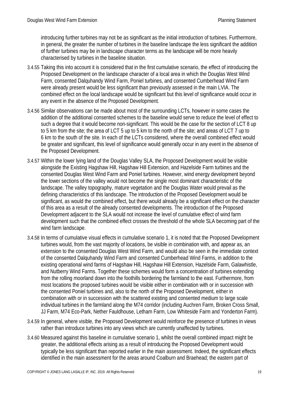introducing further turbines may not be as significant as the initial introduction of turbines. Furthermore, in general, the greater the number of turbines in the baseline landscape the less significant the addition of further turbines may be in landscape character terms as the landscape will be more heavily characterised by turbines in the baseline situation.

- 3.4.55 Taking this into account it is considered that in the first cumulative scenario, the effect of introducing the Proposed Development on the landscape character of a local area in which the Douglas West Wind Farm, consented Dalquhandy Wind Farm, Poniel turbines, and consented Cumberhead Wind Farm were already present would be less significant than previously assessed in the main LVIA. The combined effect on the local landscape would be significant but this level of significance would occur in any event in the absence of the Proposed Development.
- 3.4.56 Similar observations can be made about most of the surrounding LCTs, however in some cases the addition of the additional consented schemes to the baseline would serve to reduce the level of effect to such a degree that it would become non-significant. This would be the case for the section of LCT 8 up to 5 km from the site; the area of LCT 5 up to 5 km to the north of the site; and areas of LCT 7 up to 6 km to the south of the site. In each of the LCTs considered, where the overall combined effect would be greater and significant, this level of significance would generally occur in any event in the absence of the Proposed Development.
- 3.4.57 Within the lower lying land of the Douglas Valley SLA, the Proposed Development would be visible alongside the Existing Hagshaw Hill, Hagshaw Hill Extension, and Hazelside Farm turbines and the consented Douglas West Wind Farm and Poniel turbines. However, wind energy development beyond the lower sections of the valley would not become the single most dominant characteristic of the landscape. The valley topography, mature vegetation and the Douglas Water would prevail as the defining characteristics of this landscape. The introduction of the Proposed Development would be significant, as would the combined effect, but there would already be a significant effect on the character of this area as a result of the already consented developments. The introduction of the Proposed Development adjacent to the SLA would not increase the level of cumulative effect of wind farm development such that the combined effect crosses the threshold of the whole SLA becoming part of the wind farm landscape.
- 3.4.58 In terms of cumulative visual effects in cumulative scenario 1, it is noted that the Proposed Development turbines would, from the vast majority of locations, be visible in combination with, and appear as, an extension to the consented Douglas West Wind Farm, and would also be seen in the immediate context of the consented Dalquhandy Wind Farm and consented Cumberhead Wind Farms, in addition to the existing operational wind farms of Hagshaw Hill, Hagshaw Hill Extension, Hazelside Farm, Galawhistle, and Nutberry Wind Farms. Together these schemes would form a concentration of turbines extending from the rolling moorland down into the foothills bordering the farmland to the east. Furthermore, from most locations the proposed turbines would be visible either in combination with or in succession with the consented Poniel turbines and, also to the north of the Proposed Development, either in combination with or in succession with the scattered existing and consented medium to large scale individual turbines in the farmland along the M74 corridor (including Auchren Farm, Broken Cross Small, JJ Farm, M74 Eco-Park, Nether Fauldhouse, Letham Farm, Low Whiteside Farm and Yonderton Farm).
- 3.4.59 In general, where visible, the Proposed Development would reinforce the presence of turbines in views rather than introduce turbines into any views which are currently unaffected by turbines.
- 3.4.60 Measured against this baseline in cumulative scenario 1, whilst the overall combined impact might be greater, the additional effects arising as a result of introducing the Proposed Development would typically be less significant than reported earlier in the main assessment. Indeed, the significant effects identified in the main assessment for the areas around Coalburn and Braehead; the eastern part of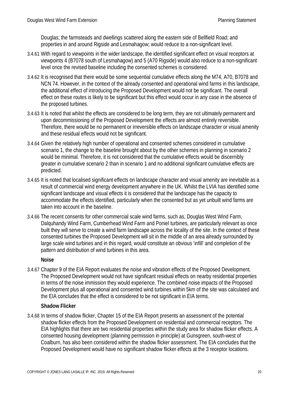Douglas; the farmsteads and dwellings scattered along the eastern side of Bellfield Road; and properties in and around Rigside and Lesmahagow; would reduce to a non-significant level.

- 3.4.61 With regard to viewpoints in the wider landscape, the identified significant effect on visual receptors at viewpoints 4 (B7078 south of Lesmahagow) and 5 (A70 Rigside) would also reduce to a non-significant level once the revised baseline including the consented schemes is considered.
- 3.4.62 It is recognised that there would be some sequential cumulative effects along the M74, A70, B7078 and NCN 74. However, in the context of the already consented and operational wind farms in this landscape, the additional effect of introducing the Proposed Development would not be significant. The overall effect on these routes is likely to be significant but this effect would occur in any case in the absence of the proposed turbines.
- 3.4.63 It is noted that whilst the effects are considered to be long term, they are not ultimately permanent and upon decommissioning of the Proposed Development the effects are almost entirely reversible. Therefore, there would be no permanent or irreversible effects on landscape character or visual amenity and these residual effects would not be significant.
- 3.4.64 Given the relatively high number of operational and consented schemes considered in cumulative scenario 1, the change to the baseline brought about by the other schemes in planning in scenario 2 would be minimal. Therefore, it is not considered that the cumulative effects would be discernibly greater in cumulative scenario 2 than in scenario 1 and no additional significant cumulative effects are predicted.
- 3.4.65 It is noted that localised significant effects on landscape character and visual amenity are inevitable as a result of commercial wind energy development anywhere in the UK. Whilst the LVIA has identified some significant landscape and visual effects it is considered that the landscape has the capacity to accommodate the effects identified, particularly when the consented but as yet unbuilt wind farms are taken into account in the baseline.
- 3.4.66 The recent consents for other commercial scale wind farms, such as, Douglas West Wind Farm, Dalquhandy Wind Farm, Cumberhead Wind Farm and Poniel turbines, are particularly relevant as once built they will serve to create a wind farm landscape across the locality of the site. In the context of these consented turbines the Proposed Development will sit in the middle of an area already surrounded by large scale wind turbines and in this regard, would constitute an obvious 'infill' and completion of the pattern and distribution of wind turbines in this area.

#### **Noise**

3.4.67 Chapter 9 of the EIA Report evaluates the noise and vibration effects of the Proposed Development. The Proposed Development would not have significant residual effects on nearby residential properties in terms of the noise immission they would experience. The combined noise impacts of the Proposed Development plus all operational and consented wind turbines within 5km of the site was calculated and the EIA concludes that the effect is considered to be not significant in EIA terms.

#### **Shadow Flicker**

3.4.68 In terms of shadow flicker, Chapter 15 of the EIA Report presents an assessment of the potential shadow flicker effects from the Proposed Development on residential and commercial receptors. The EIA highlights that there are two residential properties within the study area for shadow flicker effects. A consented housing development (planning permission in principle) at Gunsgreen, south-west of Coalburn, has also been considered within the shadow flicker assessment. The EIA concludes that the Proposed Development would have no significant shadow flicker effects at the 3 receptor locations.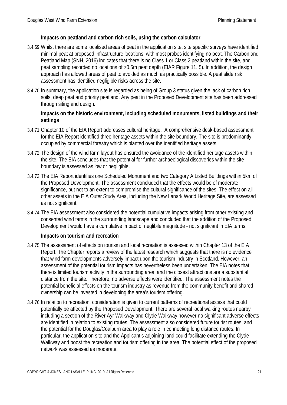#### **Impacts on peatland and carbon rich soils, using the carbon calculator**

- 3.4.69 Whilst there are some localised areas of peat in the application site, site specific surveys have identified minimal peat at proposed infrastructure locations, with most probes identifying no peat. The Carbon and Peatland Map (SNH, 2016) indicates that there is no Class 1 or Class 2 peatland within the site, and peat sampling recorded no locations of >0.5m peat depth (EIAR Figure 11. 5). In addition, the design approach has allowed areas of peat to avoided as much as practically possible. A peat slide risk assessment has identified negligible risks across the site.
- 3.4.70 In summary, the application site is regarded as being of Group 3 status given the lack of carbon rich soils, deep peat and priority peatland. Any peat in the Proposed Development site has been addressed through siting and design.

#### **Impacts on the historic environment, including scheduled monuments, listed buildings and their settings**

- 3.4.71 Chapter 10 of the EIA Report addresses cultural heritage. A comprehensive desk-based assessment for the EIA Report identified three heritage assets within the site boundary. The site is predominantly occupied by commercial forestry which is planted over the identified heritage assets.
- 3.4.72 The design of the wind farm layout has ensured the avoidance of the identified heritage assets within the site. The EIA concludes that the potential for further archaeological discoveries within the site boundary is assessed as low or negligible.
- 3.4.73 The EIA Report identifies one Scheduled Monument and two Category A Listed Buildings within 5km of the Proposed Development. The assessment concluded that the effects would be of moderate significance, but not to an extent to compromise the cultural significance of the sites. The effect on all other assets in the EIA Outer Study Area, including the New Lanark World Heritage Site, are assessed as not significant.
- 3.4.74 The EIA assessment also considered the potential cumulative impacts arising from other existing and consented wind farms in the surrounding landscape and concluded that the addition of the Proposed Development would have a cumulative impact of neglibile magnitude - not significant in EIA terms.

#### **Impacts on tourism and recreation**

- 3.4.75 The assessment of effects on tourism and local recreation is assessed within Chapter 13 of the EIA Report. The Chapter reports a review of the latest research which suggests that there is no evidence that wind farm developments adversely impact upon the tourism industry in Scotland. However, an assessment of the potential tourism impacts has nevertheless been undertaken. The EIA notes that there is limited tourism activity in the surrounding area, and the closest attractions are a substantial distance from the site. Therefore, no adverse effects were identified. The assessment notes the potential beneficial effects on the tourism industry as revenue from the community benefit and shared ownership can be invested in developing the area's tourism offering.
- 3.4.76 In relation to recreation, consideration is given to current patterns of recreational access that could potentially be affected by the Proposed Development. There are several local walking routes nearby including a section of the River Ayr Walkway and Clyde Walkway however no significant adverse effects are identified in relation to existing routes. The assessment also considered future tourist routes, and the potential for the Douglas/Coalburn area to play a role in connecting long distance routes. In particular, the application site and the Applicant's adjoining land could facilitate extending the Clyde Walkway and boost the recreation and tourism offering in the area. The potential effect of the proposed network was assessed as moderate.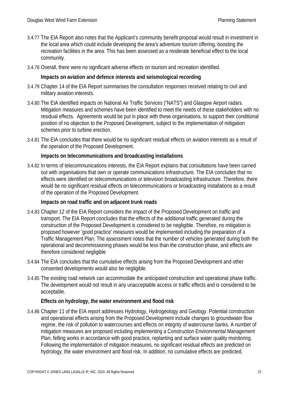- 3.4.77 The EIA Report also notes that the Applicant's community benefit proposal would result in investment in the local area which could include developing the area's adventure tourism offering, boosting the recreation facilities in the area. This has been assessed as a moderate beneficial effect to the local community.
- 3.4.78 Overall, there were no significant adverse effects on tourism and recreation identified.

#### **Impacts on aviation and defence interests and seismological recording**

- 3.4.79 Chapter 14 of the EIA Report summarises the consultation responses received relating to civil and military aviation interests.
- 3.4.80 The EIA identified impacts on National Air Traffic Services ("NATS") and Glasgow Airport radars. Mitigation measures and schemes have been identified to meet the needs of these stakeholders with no residual effects. Agreements would be put in place with these organisations, to support their conditional position of no objection to the Proposed Development, subject to the implementation of mitigation schemes prior to turbine erection.
- 3.4.81 The EIA concludes that there would be no significant residual effects on aviation interests as a result of the operation of the Proposed Development.

#### **Impacts on telecommunications and broadcasting installations**

3.4.82 In terms of telecommunications interests, the EIA Report explains that consultations have been carried out with organisations that own or operate communications infrastructure. The EIA concludes that no effects were identified on telecommunications or television broadcasting infrastructure. Therefore, there would be no significant residual effects on telecommunications or broadcasting installations as a result of the operation of the Proposed Development.

#### **Impacts on road traffic and on adjacent trunk roads**

- 3.4.83 Chapter 12 of the EIA Report considers the impact of the Proposed Development on traffic and transport. The EIA Report concludes that the effects of the additional traffic generated during the construction of the Proposed Development is considered to be negligible. Therefore, no mitigation is proposed however 'good practice' measures would be implemented including the preparation of a Traffic Management Plan. The assessment notes that the number of vehicles generated during both the operational and decommissioning phases would be less than the construction phase, and effects are therefore considered negligible
- 3.4.84 The EIA concludes that the cumulative effects arising from the Proposed Development and other consented developments would also be negligible.
- 3.4.85 The existing road network can accommodate the anticipated construction and operational phase traffic. The development would not result in any unacceptable access or traffic effects and is considered to be acceptable.

#### **Effects on hydrology, the water environment and flood risk**

3.4.86 Chapter 11 of the EIA report addresses Hydrology, Hydrogeology and Geology. Potential construction and operational effects arising from the Proposed Development include changes to groundwater flow regime, the risk of pollution to watercourses and effects on integrity of watercourse banks. A number of mitigation measures are proposed including implementing a Construction Environmental Management Plan, felling works in accordance with good practice, replanting and surface water quality monitoring. Following the implementation of mitigation measures, no significant residual effects are predicted on hydrology, the water environment and flood risk. In addition, no cumulative effects are predicted.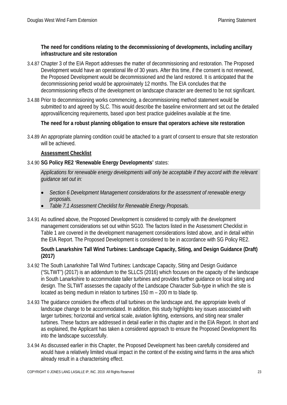#### **The need for conditions relating to the decommissioning of developments, including ancillary infrastructure and site restoration**

- 3.4.87 Chapter 3 of the EIA Report addresses the matter of decommissioning and restoration. The Proposed Development would have an operational life of 30 years. After this time, if the consent is not renewed, the Proposed Development would be decommissioned and the land restored. It is anticipated that the decommissioning period would be approximately 12 months. The EIA concludes that the decommissioning effects of the development on landscape character are deemed to be not significant.
- 3.4.88 Prior to decommissioning works commencing, a decommissioning method statement would be submitted to and agreed by SLC. This would describe the baseline environment and set out the detailed approval/licencing requirements, based upon best practice guidelines available at the time.

#### **The need for a robust planning obligation to ensure that operators achieve site restoration**

3.4.89 An appropriate planning condition could be attached to a grant of consent to ensure that site restoration will be achieved.

#### **Assessment Checklist**

#### 3.4.90 **SG Policy RE2 'Renewable Energy Developments'** states:

*Applications for renewable energy developments will only be acceptable if they accord with the relevant guidance set out in:*

- *Section 6 Development Management considerations for the assessment of renewable energy proposals.*
- *Table 7.1 Assessment Checklist for Renewable Energy Proposals.*
- 3.4.91 As outlined above, the Proposed Development is considered to comply with the development management considerations set out within SG10. The factors listed in the Assessment Checklist in Table 1 are covered in the development management considerations listed above, and in detail within the EIA Report. The Proposed Development is considered to be in accordance with SG Policy RE2.

#### **South Lanarkshire Tall Wind Turbines: Landscape Capacity, Siting, and Design Guidance (Draft) (2017)**

- 3.4.92 The South Lanarkshire Tall Wind Turbines: Landscape Capacity, Siting and Design Guidance ("SLTWT") (2017) is an addendum to the SLLCS (2016) which focuses on the capacity of the landscape in South Lanarkshire to accommodate taller turbines and provides further guidance on local siting and design. The SLTWT assesses the capacity of the Landscape Character Sub-type in which the site is located as being medium in relation to turbines 150 m – 200 m to blade tip.
- 3.4.93 The guidance considers the effects of tall turbines on the landscape and, the appropriate levels of landscape change to be accommodated. In addition, this study highlights key issues associated with larger turbines; horizontal and vertical scale, aviation lighting, extensions, and siting near smaller turbines. These factors are addressed in detail earlier in this chapter and in the EIA Report. In short and as explained, the Applicant has taken a considered approach to ensure the Proposed Development fits into the landscape successfully.
- 3.4.94 As discussed earlier in this Chapter, the Proposed Development has been carefully considered and would have a relatively limited visual impact in the context of the existing wind farms in the area which already result in a characterising effect.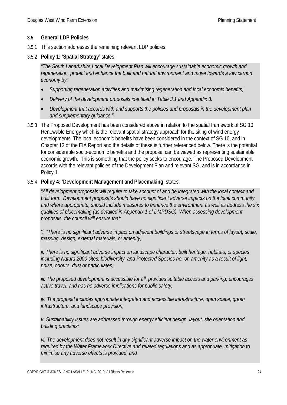#### **3.5 General LDP Policies**

- 3.5.1 This section addresses the remaining relevant LDP policies.
- 3.5.2 **Policy 1: 'Spatial Strategy'** states:

*"The South Lanarkshire Local Development Plan will encourage sustainable economic growth and regeneration, protect and enhance the built and natural environment and move towards a low carbon economy by:*

- *Supporting regeneration activities and maximising regeneration and local economic benefits;*
- *Delivery of the development proposals identified in Table 3.1 and Appendix 3.*
- *Development that accords with and supports the policies and proposals in the development plan and supplementary guidance."*
- 3.5.3 The Proposed Development has been considered above in relation to the spatial framework of SG 10 Renewable Energy which is the relevant spatial strategy approach for the siting of wind energy developments. The local economic benefits have been considered in the context of SG 10, and in Chapter 13 of the EIA Report and the details of these is further referenced below. There is the potential for considerable socio-economic benefits and the proposal can be viewed as representing sustainable economic growth. This is something that the policy seeks to encourage. The Proposed Development accords with the relevant policies of the Development Plan and relevant SG, and is in accordance in Policy 1.

#### 3.5.4 **Policy 4: 'Development Management and Placemaking'** states:

*"All development proposals will require to take account of and be integrated with the local context and built form. Development proposals should have no significant adverse impacts on the local community and where appropriate, should include measures to enhance the environment as well as address the six qualities of placemaking (as detailed in Appendix 1 of DMPDSG). When assessing development proposals, the council will ensure that:*

*"i. "There is no significant adverse impact on adjacent buildings or streetscape in terms of layout, scale, massing, design, external materials, or amenity;*

*ii. There is no significant adverse impact on landscape character, built heritage, habitats, or species including Natura 2000 sites, biodiversity, and Protected Species nor on amenity as a result of light, noise, odours, dust or particulates;*

*iii. The proposed development is accessible for all, provides suitable access and parking, encourages active travel, and has no adverse implications for public safety;*

*iv. The proposal includes appropriate integrated and accessible infrastructure, open space, green infrastructure, and landscape provision;*

*v. Sustainability issues are addressed through energy efficient design, layout, site orientation and building practices;*

*vi. The development does not result in any significant adverse impact on the water environment as required by the Water Framework Directive and related regulations and as appropriate, mitigation to minimise any adverse effects is provided, and*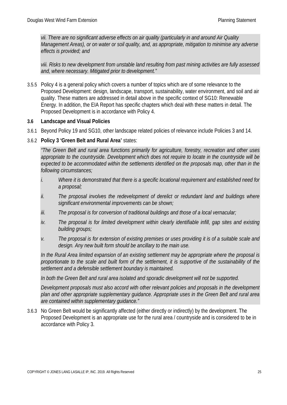*vii. There are no significant adverse effects on air quality (particularly in and around Air Quality Management Areas), or on water or soil quality, and, as appropriate, mitigation to minimise any adverse effects is provided; and*

*viii. Risks to new development from unstable land resulting from past mining activities are fully assessed and, where necessary. Mitigated prior to development."*

3.5.5 Policy 4 is a general policy which covers a number of topics which are of some relevance to the Proposed Development: design, landscape, transport, sustainability, water environment, and soil and air quality. These matters are addressed in detail above in the specific context of SG10: Renewable Energy. In addition, the EIA Report has specific chapters which deal with these matters in detail. The Proposed Development is in accordance with Policy 4.

#### **3.6 Landscape and Visual Policies**

3.6.1 Beyond Policy 19 and SG10, other landscape related policies of relevance include Policies 3 and 14.

#### 3.6.2 **Policy 3 'Green Belt and Rural Area'** states:

*"The Green Belt and rural area functions primarily for agriculture, forestry, recreation and other uses appropriate to the countryside. Development which does not require to locate in the countryside will be expected to be accommodated within the settlements identified on the proposals map, other than in the following circumstances;* 

- *i. Where it is demonstrated that there is a specific locational requirement and established need for a proposal;*
- *ii. The proposal involves the redevelopment of derelict or redundant land and buildings where significant environmental improvements can be shown;*
- *iii. The proposal is for conversion of traditional buildings and those of a local vernacular;*
- *iv. The proposal is for limited development within clearly identifiable infill, gap sites and existing building groups;*
- *v. The proposal is for extension of existing premises or uses providing it is of a suitable scale and design. Any new built form should be ancillary to the main use.*

*In the Rural Area limited expansion of an existing settlement may be appropriate where the proposal is proportionate to the scale and built form of the settlement, it is supportive of the sustainability of the settlement and a defensible settlement boundary is maintained.*

*In both the Green Belt and rural area isolated and sporadic development will not be supported.* 

*Development proposals must also accord with other relevant policies and proposals in the development plan and other appropriate supplementary guidance. Appropriate uses in the Green Belt and rural area are contained within supplementary guidance."*

3.6.3 No Green Belt would be significantly affected (either directly or indirectly) by the development. The Proposed Development is an appropriate use for the rural area / countryside and is considered to be in accordance with Policy 3.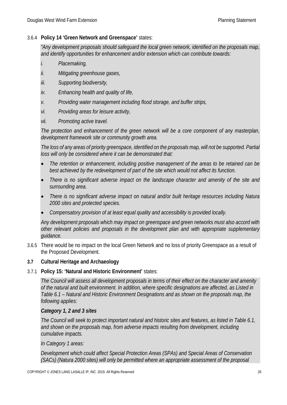#### 3.6.4 **Policy 14 'Green Network and Greenspace'** states:

*"Any development proposals should safeguard the local green network, identified on the proposals map, and identify opportunities for enhancement and/or extension which can contribute towards:*

- *i. Placemaking,*
- *ii. Mitigating greenhouse gases,*
- *iii. Supporting biodiversity,*
- *iv. Enhancing health and quality of life,*
- *v. Providing water management including flood storage, and buffer strips,*
- *vi. Providing areas for leisure activity,*
- *vii. Promoting active travel.*

*The protection and enhancement of the green network will be a core component of any masterplan, development framework site or community growth area.*

*The loss of any areas of priority greenspace, identified on the proposals map, will not be supported. Partial loss will only be considered where it can be demonstrated that:*

- *The retention or enhancement, including positive management of the areas to be retained can be best achieved by the redevelopment of part of the site which would not affect its function.*
- *There is no significant adverse impact on the landscape character and amenity of the site and surrounding area.*
- *There is no significant adverse impact on natural and/or built heritage resources including Natura 2000 sites and protected species.*
- *Compensatory provision of at least equal quality and accessibility is provided locally.*

*Any development proposals which may impact on greenspace and green networks must also accord with other relevant policies and proposals in the development plan and with appropriate supplementary guidance.* 

3.6.5 There would be no impact on the local Green Network and no loss of priority Greenspace as a result of the Proposed Development.

#### **3.7 Cultural Heritage and Archaeology**

#### 3.7.1 **Policy 15: 'Natural and Historic Environment'** states:

*The Council will assess all development proposals in terms of their effect on the character and amenity of the natural and built environment. In addition, where specific designations are affected, as Listed in Table 6.1 – Natural and Historic Environment Designations and as shown on the proposals map, the following applies:*

#### *Category 1, 2 and 3 sites*

*The Council will seek to protect important natural and historic sites and features, as listed in Table 6.1,*  and shown on the proposals map, from adverse impacts resulting from development, including *cumulative impacts.* 

*In Category 1 areas:*

*Development which could affect Special Protection Areas (SPAs) and Special Areas of Conservation (SACs) (Natura 2000 sites) will only be permitted where an appropriate assessment of the proposal*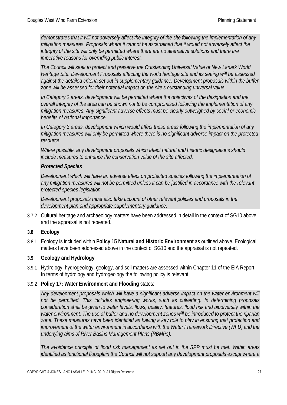*demonstrates that it will not adversely affect the integrity of the site following the implementation of any mitigation measures. Proposals where it cannot be ascertained that it would not adversely affect the integrity of the site will only be permitted where there are no alternative solutions and there are imperative reasons for overriding public interest.*

*The Council will seek to protect and preserve the Outstanding Universal Value of New Lanark World Heritage Site. Development Proposals affecting the world heritage site and its setting will be assessed against the detailed criteria set out in supplementary guidance. Development proposals within the buffer zone will be assessed for their potential impact on the site's outstanding universal value.*

*In Category 2 areas, development will be permitted where the objectives of the designation and the overall integrity of the area can be shown not to be compromised following the implementation of any mitigation measures. Any significant adverse effects must be clearly outweighed by social or economic benefits of national importance.* 

*In Category 3 areas, development which would affect these areas following the implementation of any mitigation measures will only be permitted where there is no significant adverse impact on the protected resource.* 

*Where possible, any development proposals which affect natural and historic designations should include measures to enhance the conservation value of the site affected.* 

#### *Protected Species*

*Development which will have an adverse effect on protected species following the implementation of any mitigation measures will not be permitted unless it can be justified in accordance with the relevant protected species legislation.* 

*Development proposals must also take account of other relevant policies and proposals in the development plan and appropriate supplementary guidance.*

3.7.2 Cultural heritage and archaeology matters have been addressed in detail in the context of SG10 above and the appraisal is not repeated.

#### **3.8 Ecology**

3.8.1 Ecology is included within **Policy 15 Natural and Historic Environment** as outlined above. Ecological matters have been addressed above in the context of SG10 and the appraisal is not repeated.

#### **3.9 Geology and Hydrology**

3.9.1 Hydrology, hydrogeology, geology, and soil matters are assessed within Chapter 11 of the EIA Report. In terms of hydrology and hydrogeology the following policy is relevant:

#### 3.9.2 **Policy 17: Water Environment and Flooding** states:

*Any development proposals which will have a significant adverse impact on the water environment will not be permitted. This includes engineering works, such as culverting. In determining proposals consideration shall be given to water levels, flows, quality, features, flood risk and biodiversity within the water environment. The use of buffer and no development zones will be introduced to protect the riparian*  zone. These measures have been identified as having a key role to play in ensuring that protection and *improvement of the water environment in accordance with the Water Framework Directive (WFD) and the underlying aims of River Basins Management Plans (RBMPs).*

*The avoidance principle of flood risk management as set out in the SPP must be met. Within areas identified as functional floodplain the Council will not support any development proposals except where a*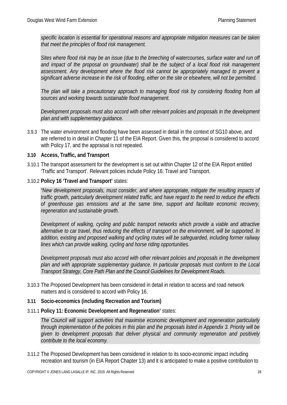*specific location is essential for operational reasons and appropriate mitigation measures can be taken that meet the principles of flood risk management.* 

*Sites where flood risk may be an issue (due to the breeching of watercourses, surface water and run off and impact of the proposal on groundwater) shall be the subject of a local flood risk management assessment. Any development where the flood risk cannot be appropriately managed to prevent a significant adverse increase in the risk of flooding, either on the site or elsewhere, will not be permitted.* 

*The plan will take a precautionary approach to managing flood risk by considering flooding from all sources and working towards sustainable flood management.* 

*Development proposals must also accord with other relevant policies and proposals in the development plan and with supplementary guidance.* 

3.9.3 The water environment and flooding have been assessed in detail in the context of SG10 above, and are referred to in detail in Chapter 11 of the EIA Report. Given this, the proposal is considered to accord with Policy 17, and the appraisal is not repeated.

#### **3.10 Access, Traffic, and Transport**

- 3.10.1 The transport assessment for the development is set out within Chapter 12 of the EIA Report entitled 'Traffic and Transport'. Relevant policies include Policy 16: Travel and Transport.
- 3.10.2 **Policy 16 'Travel and Transport'** states:

*"New development proposals, must consider, and where appropriate, mitigate the resulting impacts of traffic growth, particularly development related traffic, and have regard to the need to reduce the effects of greenhouse gas emissions and at the same time, support and facilitate economic recovery, regeneration and sustainable growth.*

*Development of walking, cycling and public transport networks which provide a viable and attractive alternative to car travel, thus reducing the effects of transport on the environment, will be supported. In addition, existing and proposed walking and cycling routes will be safeguarded, including former railway lines which can provide walking, cycling and horse riding opportunities.* 

*Development proposals must also accord with other relevant policies and proposals in the development plan and with appropriate supplementary guidance. In particular proposals must conform to the Local Transport Strategy, Core Path Plan and the Council Guidelines for Development Roads.*

3.10.3 The Proposed Development has been considered in detail in relation to access and road network matters and is considered to accord with Policy 16.

#### **3.11 Socio-economics (including Recreation and Tourism)**

3.11.1 **Policy 11: Economic Development and Regeneration'** states:

*The Council will support activities that maximise economic development and regeneration particularly through implementation of the policies in this plan and the proposals listed in Appendix 3. Priority will be given to development proposals that deliver physical and community regeneration and positively contribute to the local economy.* 

3.11.2 The Proposed Development has been considered in relation to its socio-economic impact including recreation and tourism (in EIA Report Chapter 13) and it is anticipated to make a positive contribution to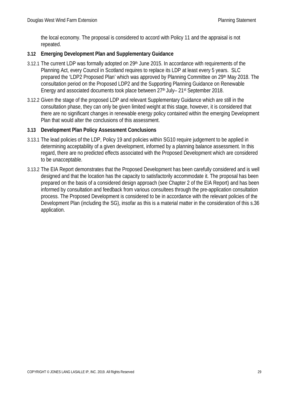the local economy. The proposal is considered to accord with Policy 11 and the appraisal is not repeated.

#### **3.12 Emerging Development Plan and Supplementary Guidance**

- 3.12.1 The current LDP was formally adopted on 29<sup>th</sup> June 2015. In accordance with requirements of the Planning Act, every Council in Scotland requires to replace its LDP at least every 5 years. SLC prepared the 'LDP2 Proposed Plan' which was approved by Planning Committee on 29th May 2018. The consultation period on the Proposed LDP2 and the Supporting Planning Guidance on Renewable Energy and associated documents took place between 27<sup>th</sup> July– 21<sup>st</sup> September 2018.
- 3.12.2 Given the stage of the proposed LDP and relevant Supplementary Guidance which are still in the consultation phase, they can only be given limited weight at this stage, however, it is considered that there are no significant changes in renewable energy policy contained within the emerging Development Plan that would alter the conclusions of this assessment.

#### **3.13 Development Plan Policy Assessment Conclusions**

- 3.13.1 The lead policies of the LDP, Policy 19 and policies within SG10 require judgement to be applied in determining acceptability of a given development, informed by a planning balance assessment. In this regard, there are no predicted effects associated with the Proposed Development which are considered to be unacceptable.
- 3.13.2 The EIA Report demonstrates that the Proposed Development has been carefully considered and is well designed and that the location has the capacity to satisfactorily accommodate it. The proposal has been prepared on the basis of a considered design approach (see Chapter 2 of the EIA Report) and has been informed by consultation and feedback from various consultees through the pre-application consultation process. The Proposed Development is considered to be in accordance with the relevant policies of the Development Plan (including the SG), insofar as this is a material matter in the consideration of this s.36 application.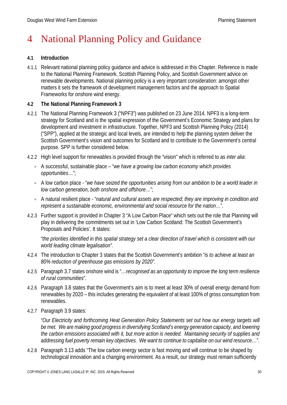# 4 National Planning Policy and Guidance

#### **4.1 Introduction**

4.1.1 Relevant national planning policy guidance and advice is addressed in this Chapter. Reference is made to the National Planning Framework, Scottish Planning Policy, and Scottish Government advice on renewable developments. National planning policy is a very important consideration: amongst other matters it sets the framework of development management factors and the approach to Spatial Frameworks for onshore wind energy.

#### **4.2 The National Planning Framework 3**

- 4.2.1 The National Planning Framework 3 ("NPF3") was published on 23 June 2014. NPF3 is a long-term strategy for Scotland and is the spatial expression of the Government's Economic Strategy and plans for development and investment in infrastructure. Together, NPF3 and Scottish Planning Policy (2014) ("SPP"), applied at the strategic and local levels, are intended to help the planning system deliver the Scottish Government's vision and outcomes for Scotland and to contribute to the Government's central purpose. SPP is further considered below.
- 4.2.2 High level support for renewables is provided through the "vision" which is referred to as *inter alia*:
	- A successful, sustainable place "*we have a growing low carbon economy which provides opportunities*…";
	- A low carbon place "*we have seized the opportunities arising from our ambition to be a world leader in low carbon generation, both onshore and offshore*…";
	- A natural resilient place "*natural and cultural assets are respected; they are improving in condition and represent a sustainable economic, environmental and social resource for the nation*…".
- 4.2.3 Further support is provided in Chapter 3 "A Low Carbon Place" which sets out the role that Planning will play in delivering the commitments set out in 'Low Carbon Scotland: The Scottish Government's Proposals and Policies'. It states:

"*the priorities identified in this spatial strategy set a clear direction of travel which is consistent with our world leading climate legalisation".* 

- 4.2.4 The introduction to Chapter 3 states that the Scottish Government's ambition "*is to achieve at least an 80% reduction of greenhouse gas emissions by 2020".*
- 4.2.5 Paragraph 3.7 states onshore wind is "*…recognised as an opportunity to improve the long term resilience of rural communities*".
- 4.2.6 Paragraph 3.8 states that the Government's aim is to meet at least 30% of overall energy demand from renewables by 2020 – this includes generating the equivalent of at least 100% of gross consumption from renewables.
- 4.2.7 Paragraph 3.9 states:

"*Our Electricity and forthcoming Heat Generation Policy Statements set out how our energy targets will*  be met. We are making good progress in diversifying Scotland's energy generation capacity, and lowering *the carbon emissions associated with it, but more action is needed. Maintaining security of supplies and addressing fuel poverty remain key objectives. We want to continue to capitalise on our wind resource…*".

4.2.8 Paragraph 3.13 adds "The low carbon energy sector is fast moving and will continue to be shaped by technological innovation and a changing environment. As a result, our strategy must remain sufficiently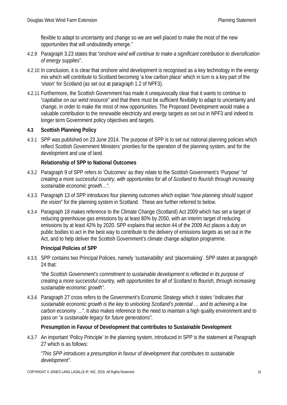flexible to adapt to uncertainty and change so we are well placed to make the most of the new opportunities that will undoubtedly emerge."

- 4.2.9 Paragraph 3.23 states that "*onshore wind will continue to make a significant contribution to diversification of energy supplies*".
- 4.2.10 In conclusion, it is clear that onshore wind development is recognised as a key technology in the energy mix which will contribute to Scotland becoming 'a low carbon place' which in turn is a key part of the 'vision' for Scotland (as set out at paragraph 1.2 of NPF3).
- 4.2.11 Furthermore, the Scottish Government has made it unequivocally clear that it wants to continue to "*capitalise on our wind resource"* and that there must be sufficient flexibility to adapt to uncertainty and change, in order to make the most of new opportunities. The Proposed Development would make a valuable contribution to the renewable electricity and energy targets as set out in NPF3 and indeed to longer term Government policy objectives and targets.

### **4.3 Scottish Planning Policy**

4.3.1 SPP was published on 23 June 2014. The purpose of SPP is to set out national planning policies which reflect Scottish Government Ministers' priorities for the operation of the planning system, and for the development and use of land.

### **Relationship of SPP to National Outcomes**

- 4.3.2 Paragraph 9 of SPP refers to 'Outcomes' as they relate to the Scottish Government's 'Purpose' "*of creating a more successful country, with opportunities for all of Scotland to flourish through increasing sustainable economic growth*…".
- 4.3.3 Paragraph 13 of SPP introduces four planning outcomes which explain "*how planning should support the vision*" for the planning system in Scotland. These are further referred to below.
- 4.3.4 Paragraph 18 makes reference to the Climate Change (Scotland) Act 2009 which has set a target of reducing greenhouse gas emissions by at least 80% by 2050, with an interim target of reducing emissions by at least 42% by 2020. SPP explains that section 44 of the 2009 Act places a duty on public bodies to act in the best way to contribute to the delivery of emissions targets as set out in the Act, and to help deliver the Scottish Government's climate change adaption programme.

### **Principal Policies of SPP**

4.3.5 SPP contains two Principal Policies, namely 'sustainability' and 'placemaking'. SPP states at paragraph 24 that:

"*the Scottish Government's commitment to sustainable development is reflected in its purpose of creating a more successful country, with opportunities for all of Scotland to flourish, through increasing sustainable economic growth".*

4.3.6 Paragraph 27 cross refers to the Government's Economic Strategy which it states "*indicates that sustainable economic growth is the key to unlocking Scotland's potential … and to achieving a low carbon economy …"*. It also makes reference to the need to maintain a high quality environment and to pass on "*a sustainable legacy for future generations".* 

### **Presumption in Favour of Development that contributes to Sustainable Development**

4.3.7 An important 'Policy Principle' in the planning system, introduced in SPP is the statement at Paragraph 27 which is as follows:

"*This SPP introduces a presumption in favour of development that contributes to sustainable development".*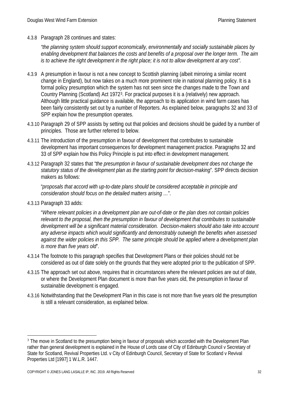4.3.8 Paragraph 28 continues and states:

*"the planning system should support economically, environmentally and socially sustainable places by enabling development that balances the costs and benefits of a proposal over the longer term. The aim is to achieve the right development in the right place; it is not to allow development at any cost".*

- 4.3.9 A presumption in favour is not a new concept to Scottish planning (albeit mirroring a similar recent change in England), but now takes on a much more prominent role in national planning policy. It is a formal policy presumption which the system has not seen since the changes made to the Town and Country Planning (Scotland) Act 1972[3.](#page-32-0) For practical purposes it is a (relatively) new approach. Although little practical guidance is available, the approach to its application in wind farm cases has been fairly consistently set out by a number of Reporters. As explained below, paragraphs 32 and 33 of SPP explain how the presumption operates.
- 4.3.10 Paragraph 29 of SPP assists by setting out that policies and decisions should be guided by a number of principles. Those are further referred to below.
- 4.3.11 The introduction of the presumption in favour of development that contributes to sustainable development has important consequences for development management practice. Paragraphs 32 and 33 of SPP explain how this Policy Principle is put into effect in development management.
- 4.3.12 Paragraph 32 states that *"the presumption in favour of sustainable development does not change the statutory status of the development plan as the starting point for decision-making*". SPP directs decision makers as follows:

"*proposals that accord with up-to-date plans should be considered acceptable in principle and consideration should focus on the detailed matters arising …*".

4.3.13 Paragraph 33 adds:

"*Where relevant policies in a development plan are out-of-date or the plan does not contain policies relevant to the proposal, then the presumption in favour of development that contributes to sustainable development will be a significant material consideration. Decision-makers should also take into account any adverse impacts which would significantly and demonstrably outweigh the benefits when assessed against the wider policies in this SPP. The same principle should be applied where a development plan is more than five years old*".

- 4.3.14 The footnote to this paragraph specifies that Development Plans or their policies should not be considered as out of date solely on the grounds that they were adopted prior to the publication of SPP.
- 4.3.15 The approach set out above, requires that in circumstances where the relevant policies are out of date, or where the Development Plan document is more than five years old, the presumption in favour of sustainable development is engaged.
- 4.3.16 Notwithstanding that the Development Plan in this case is not more than five years old the presumption is still a relevant consideration, as explained below.

<span id="page-32-0"></span><sup>&</sup>lt;sup>3</sup> The move in Scotland to the presumption being in favour of proposals which accorded with the Development Plan rather than general development is explained in the House of Lords case of City of Edinburgh Council v Secretary of State for Scotland, Revival Properties Ltd. v City of Edinburgh Council, Secretary of State for Scotland v Revival Properties Ltd [1997] 1 W.L.R. 1447.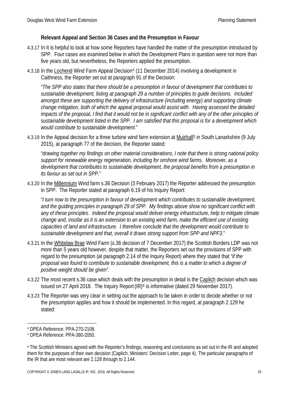#### **Relevant Appeal and Section 36 Cases and the Presumption in Favour**

- 4.3.17 In It is helpful to look at how some Reporters have handled the matter of the presumption introduced by SPP. Four cases are examined below in which the Development Plans in question were not more than five years old, but nevertheless, the Reporters applied the presumption.
- [4](#page-33-0).3.18 In the Lochend Wind Farm Appeal Decision<sup>4</sup> (11 December 2014) involving a development in Caithness, the Reporter set out at paragraph 91 of the Decision:

"*The SPP also states that there should be a presumption in favour of development that contributes to sustainable development, listing at paragraph 29 a number of principles to guide decisions. Included amongst these are supporting the delivery of infrastructure (including energy) and supporting climate change mitigation, both of which the appeal proposal would assist with. Having assessed the detailed impacts of the proposal, I find that it would not be in significant conflict with any of the other principles of sustainable development listed in the SPP. I am satisfied that this proposal is for a development which would contribute to sustainable development*."

4.3.19 In the Appeal decision for a three turbine wind farm extension at Muirhall[5](#page-33-1) in South Lanarkshire (9 July 2015), at paragraph 77 of the decision, the Reporter stated:

"*drawing together my findings on other material considerations, I note that there is strong national policy support for renewable energy regeneration, including for onshore wind farms. Moreover, as a development that contributes to sustainable development, the proposal benefits from a presumption in its favour as set out in SPP*."

4.3.20 In the Millennium Wind farm s.36 Decision (3 February 2017) the Reporter addressed the presumption in SPP. The Reporter stated at paragraph 6.19 of his Inquiry Report:

"*I turn now to the presumption in favour of development which contributes to sustainable development, and the guiding principles in paragraph 29 of SPP. My findings above show no significant conflict with any of these principles. Indeed the proposal would deliver energy infrastructure, help to mitigate climate change and, insofar as it is an extension to an existing wind farm, make the efficient use of existing capacities of land and infrastructure. I therefore conclude that the development would contribute to sustainable development and that, overall it draws strong support from SPP and NPF3*."

- 4.3.21 In the Whitelaw Brae Wind Farm (s.36 decision of 7 December 2017) the Scottish Borders LDP was not more than 5 years old however, despite that matter, the Reporters set out the provisions of SPP with regard to the presumption (at paragraph 2.14 of the Inquiry Report) where they stated that "*if the proposal was found to contribute to sustainable development, this is a matter to which a degree of positive weight should be given".*
- 4.3.22 The most recent s.36 case which deals with the presumption in detail is the Caplich decision which was issued on 27 April 2018. The Inquiry Report  $(|R|\delta)$  is informative (dated 29 November 2017).
- 4.3.23 The Reporter was very clear in setting out the approach to be taken in order to decide whether or not the presumption applies and how it should be implemented. In this regard, at paragraph 2.129 he stated:

<span id="page-33-0"></span> <sup>4</sup> DPEA Reference: PPA-270-2108.

<span id="page-33-1"></span><sup>5</sup> DPEA Reference: PPA-380-2050.

<span id="page-33-2"></span><sup>6</sup> The Scottish Ministers agreed with the Reporter's findings, reasoning and conclusions as set out in the IR and adopted them for the purposes of their own decision (Caplich, Ministers' Decision Letter, page 4). The particular paragraphs of the IR that are most relevant are 2.128 through to 2.144.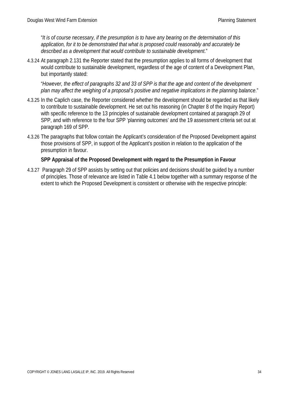"*It is of course necessary, if the presumption is to have any bearing on the determination of this application, for it to be demonstrated that what is proposed could reasonably and accurately be described as a development that would contribute to sustainable development*."

4.3.24 At paragraph 2.131 the Reporter stated that the presumption applies to all forms of development that would contribute to sustainable development, regardless of the age of content of a Development Plan, but importantly stated:

"*However, the effect of paragraphs 32 and 33 of SPP is that the age and content of the development plan may affect the weighing of a proposal's positive and negative implications in the planning balance*."

- 4.3.25 In the Caplich case, the Reporter considered whether the development should be regarded as that likely to contribute to sustainable development. He set out his reasoning (in Chapter 8 of the Inquiry Report) with specific reference to the 13 principles of sustainable development contained at paragraph 29 of SPP, and with reference to the four SPP 'planning outcomes' and the 19 assessment criteria set out at paragraph 169 of SPP.
- 4.3.26 The paragraphs that follow contain the Applicant's consideration of the Proposed Development against those provisions of SPP, in support of the Applicant's position in relation to the application of the presumption in favour.

#### **SPP Appraisal of the Proposed Development with regard to the Presumption in Favour**

4.3.27 Paragraph 29 of SPP assists by setting out that policies and decisions should be guided by a number of principles. Those of relevance are listed in Table 4.1 below together with a summary response of the extent to which the Proposed Development is consistent or otherwise with the respective principle: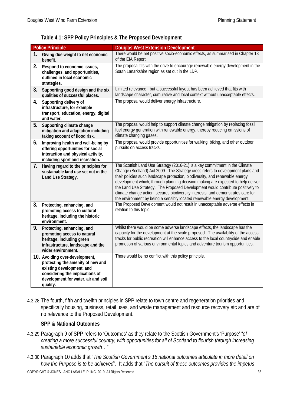|    | <b>Policy Principle</b>                                                                                                                                                                | <b>Douglas West Extension Development</b>                                                                                                                                                                                                                                                                                                                                                                                                                                                                                                                                            |
|----|----------------------------------------------------------------------------------------------------------------------------------------------------------------------------------------|--------------------------------------------------------------------------------------------------------------------------------------------------------------------------------------------------------------------------------------------------------------------------------------------------------------------------------------------------------------------------------------------------------------------------------------------------------------------------------------------------------------------------------------------------------------------------------------|
| 1. | Giving due weight to net economic<br>benefit.                                                                                                                                          | There would be net positive socio-economic effects, as summarised in Chapter 13<br>of the EIA Report.                                                                                                                                                                                                                                                                                                                                                                                                                                                                                |
| 2. | Respond to economic issues,<br>challenges, and opportunities,<br>outlined in local economic<br>strategies.                                                                             | The proposal fits with the drive to encourage renewable energy development in the<br>South Lanarkshire region as set out in the LDP.                                                                                                                                                                                                                                                                                                                                                                                                                                                 |
| 3. | Supporting good design and the six<br>qualities of successful places.                                                                                                                  | Limited relevance - but a successful layout has been achieved that fits with<br>landscape character, cumulative and local context without unacceptable effects.                                                                                                                                                                                                                                                                                                                                                                                                                      |
| 4. | Supporting delivery of<br>infrastructure, for example<br>transport, education, energy, digital<br>and water.                                                                           | The proposal would deliver energy infrastructure.                                                                                                                                                                                                                                                                                                                                                                                                                                                                                                                                    |
| 5. | Supporting climate change<br>mitigation and adaptation including<br>taking account of flood risk.                                                                                      | The proposal would help to support climate change mitigation by replacing fossil<br>fuel energy generation with renewable energy, thereby reducing emissions of<br>climate changing gases.                                                                                                                                                                                                                                                                                                                                                                                           |
| 6. | Improving health and well-being by<br>offering opportunities for social<br>interaction and physical activity,<br>including sport and recreation.                                       | The proposal would provide opportunities for walking, biking, and other outdoor<br>pursuits on access tracks.                                                                                                                                                                                                                                                                                                                                                                                                                                                                        |
| 7. | Having regard to the principles for<br>sustainable land use set out in the<br>Land Use Strategy.                                                                                       | The Scottish Land Use Strategy (2016-21) is a key commitment in the Climate<br>Change (Scotland) Act 2009. The Strategy cross refers to development plans and<br>their policies such landscape protection, biodiversity, and renewable energy<br>development which, through planning decision making are expected to help deliver<br>the Land Use Strategy. The Proposed Development would contribute positively to<br>climate change action, secures biodiversity interests, and demonstrates care for<br>the environment by being a sensibly located renewable energy development. |
| 8. | Protecting, enhancing, and<br>promoting access to cultural<br>heritage, including the historic<br>environment.                                                                         | The Proposed Development would not result in unacceptable adverse effects in<br>relation to this topic.                                                                                                                                                                                                                                                                                                                                                                                                                                                                              |
| 9. | Protecting, enhancing, and<br>promoting access to natural<br>heritage, including green<br>infrastructure, landscape and the<br>wider environment.                                      | Whilst there would be some adverse landscape effects, the landscape has the<br>capacity for the development at the scale proposed. The availability of the access<br>tracks for public recreation will enhance access to the local countryside and enable<br>promotion of various environmental topics and adventure tourism opportunities.                                                                                                                                                                                                                                          |
|    | 10. Avoiding over-development,<br>protecting the amenity of new and<br>existing development, and<br>considering the implications of<br>development for water, air and soil<br>quality. | There would be no conflict with this policy principle.                                                                                                                                                                                                                                                                                                                                                                                                                                                                                                                               |

#### **Table 4.1: SPP Policy Principles & The Proposed Development**

4.3.28 The fourth, fifth and twelfth principles in SPP relate to town centre and regeneration priorities and specifically housing, business, retail uses, and waste management and resource recovery etc and are of no relevance to the Proposed Development.

#### **SPP & National Outcomes**

- 4.3.29 Paragraph 9 of SPP refers to 'Outcomes' as they relate to the Scottish Government's 'Purpose' "*of creating a more successful country, with opportunities for all of Scotland to flourish through increasing sustainable economic growth*…".
- 4.3.30 Paragraph 10 adds that "*The Scottish Government's 16 national outcomes articulate in more detail on how the Purpose is to be achieved*". It adds that "*The pursuit of these outcomes provides the impetus*

COPYRIGHT © JONES LANG LASALLE IP, INC. 2019. All Rights Reserved 35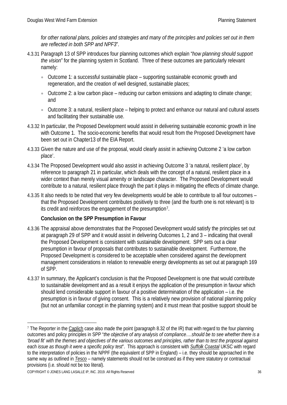*for other national plans, policies and strategies and many of the principles and policies set out in them are reflected in both SPP and NPF3*".

- 4.3.31 Paragraph 13 of SPP introduces four planning outcomes which explain "*how planning should support the vision*" for the planning system in Scotland. Three of these outcomes are particularly relevant namely:
	- Outcome 1: a successful sustainable place supporting sustainable economic growth and regeneration, and the creation of well designed, sustainable places;
	- Outcome 2: a low carbon place reducing our carbon emissions and adapting to climate change; and
	- Outcome 3: a natural, resilient place helping to protect and enhance our natural and cultural assets and facilitating their sustainable use.
- 4.3.32 In particular, the Proposed Development would assist in delivering sustainable economic growth in line with Outcome 1. The socio-economic benefits that would result from the Proposed Development have been set out in Chapter13 of the EIA Report.
- 4.3.33 Given the nature and use of the proposal, would clearly assist in achieving Outcome 2 'a low carbon place'.
- 4.3.34 The Proposed Development would also assist in achieving Outcome 3 'a natural, resilient place', by reference to paragraph 21 in particular, which deals with the concept of a natural, resilient place in a wider context than merely visual amenity or landscape character. The Proposed Development would contribute to a natural, resilient place through the part it plays in mitigating the effects of climate change.
- 4.3.35 It also needs to be noted that very few developments would be able to contribute to all four outcomes that the Proposed Development contributes positively to three (and the fourth one is not relevant) is to its credit and reinforces the engagement of the presumption[7](#page-36-0).

# **Conclusion on the SPP Presumption in Favour**

- 4.3.36 The appraisal above demonstrates that the Proposed Development would satisfy the principles set out at paragraph 29 of SPP and it would assist in delivering Outcomes 1, 2 and 3 – indicating that overall the Proposed Development is consistent with sustainable development. SPP sets out a clear presumption in favour of proposals that contributes to sustainable development. Furthermore, the Proposed Development is considered to be acceptable when considered against the development management considerations in relation to renewable energy developments as set out at paragraph 169 of SPP.
- 4.3.37 In summary, the Applicant's conclusion is that the Proposed Development is one that would contribute to sustainable development and as a result it enjoys the application of the presumption in favour which should lend considerable support in favour of a positive determination of the application – i.e. the presumption is in favour of giving consent. This is a relatively new provision of national planning policy (but not an unfamiliar concept in the planning system) and it must mean that positive support should be

<span id="page-36-0"></span> $7$  The Reporter in the Caplich case also made the point (paragraph 8.32 of the IR) that with regard to the four planning outcomes and policy principles in SPP "*the objective of any analysis of compliance….should be to see whether there is a 'broad fit' with the themes and objectives of the various outcomes and principles, rather than to test the proposal against each issue as though it were a specific policy test*". This approach is consistent with *Suffolk Coastal* UKSC with regard to the interpretation of policies in the NPPF (the equivalent of SPP in England) – i.e. they should be approached in the same way as outlined in *Tesco* – namely statements should not be construed as if they were statutory or contractual provisions (i.e. should not be too literal).

COPYRIGHT © JONES LANG LASALLE IP, INC. 2019. All Rights Reserved 36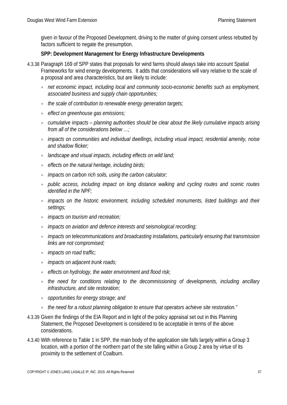given in favour of the Proposed Development, driving to the matter of giving consent unless rebutted by factors sufficient to negate the presumption.

# **SPP: Development Management for Energy Infrastructure Developments**

- 4.3.38 Paragraph 169 of SPP states that proposals for wind farms should always take into account Spatial Frameworks for wind energy developments. It adds that considerations will vary relative to the scale of a proposal and area characteristics, but are likely to include:
	- *net economic impact, including local and community socio-economic benefits such as employment, associated business and supply chain opportunities;*
	- *the scale of contribution to renewable energy generation targets;*
	- *effect on greenhouse gas emissions;*
	- *cumulative impacts – planning authorities should be clear about the likely cumulative impacts arising from all of the considerations below …;*
	- *impacts on communities and individual dwellings, including visual impact, residential amenity, noise and shadow flicker;*
	- *landscape and visual impacts, including effects on wild land;*
	- *effects on the natural heritage, including birds;*
	- *impacts on carbon rich soils, using the carbon calculator;*
	- *public access, including impact on long distance walking and cycling routes and scenic routes identified in the NPF;*
	- *impacts on the historic environment, including scheduled monuments, listed buildings and their settings;*
	- *impacts on tourism and recreation;*
	- *impacts on aviation and defence interests and seismological recording;*
	- *impacts on telecommunications and broadcasting installations, particularly ensuring that transmission links are not compromised;*
	- *impacts on road traffic;*
	- *impacts on adjacent trunk roads;*
	- *effects on hydrology, the water environment and flood risk;*
	- the need for conditions relating to the decommissioning of developments, including ancillary *infrastructure, and site restoration;*
	- *opportunities for energy storage; and*
	- *the need for a robust planning obligation to ensure that operators achieve site restoration."*
- 4.3.39 Given the findings of the EIA Report and in light of the policy appraisal set out in this Planning Statement, the Proposed Development is considered to be acceptable in terms of the above considerations.
- 4.3.40 With reference to Table 1 in SPP, the main body of the application site falls largely within a Group 3 location, with a portion of the northern part of the site falling within a Group 2 area by virtue of its proximity to the settlement of Coalburn.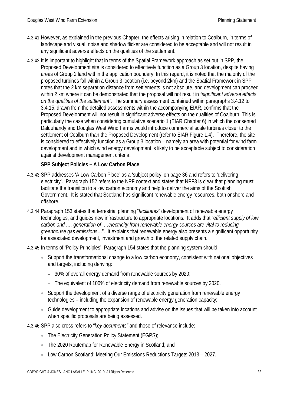- 4.3.41 However, as explained in the previous Chapter, the effects arising in relation to Coalburn, in terms of landscape and visual, noise and shadow flicker are considered to be acceptable and will not result in any significant adverse effects on the qualities of the settlement.
- 4.3.42 It is important to highlight that in terms of the Spatial Framework approach as set out in SPP, the Proposed Development site is considered to effectively function as a Group 3 location, despite having areas of Group 2 land within the application boundary. In this regard, it is noted that the majority of the proposed turbines fall within a Group 3 location (i.e. beyond 2km) and the Spatial Framework in SPP notes that the 2 km separation distance from settlements is not absolute, and development can proceed within 2 km where it can be demonstrated that the proposal will not result in *"significant adverse effects on the qualities of the settlement".* The summary assessment contained within paragraphs 3.4.12 to 3.4.15, drawn from the detailed assessments within the accompanying EIAR, confirms that the Proposed Development will not result in significant adverse effects on the qualities of Coalburn. This is particularly the case when considering cumulative scenario 1 (EIAR Chapter 6) in which the consented Dalquhandy and Douglas West Wind Farms would introduce commercial scale turbines closer to the settlement of Coalburn than the Proposed Development (refer to EIAR Figure 1.4). Therefore, the site is considered to effectively function as a Group 3 location – namely an area with potential for wind farm development and in which wind energy development is likely to be acceptable subject to consideration against development management criteria.

# **SPP Subject Policies – A Low Carbon Place**

- 4.3.43 SPP addresses 'A Low Carbon Place' as a 'subject policy' on page 36 and refers to 'delivering electricity'. Paragraph 152 refers to the NPF context and states that NPF3 is clear that planning must facilitate the transition to a low carbon economy and help to deliver the aims of the Scottish Government. It is stated that Scotland has significant renewable energy resources, both onshore and offshore.
- 4.3.44 Paragraph 153 states that terrestrial planning "*facilitates*" development of renewable energy technologies, and guides new infrastructure to appropriate locations. It adds that "e*fficient supply of low carbon and .... generation of .... electricity from renewable energy sources are vital to reducing greenhouse gas emissions*…". It explains that renewable energy also presents a significant opportunity for associated development, investment and growth of the related supply chain.
- 4.3.45 In terms of 'Policy Principles', Paragraph 154 states that the planning system should:
	- Support the transformational change to a low carbon economy, consistent with national objectives and targets, including deriving:
		- 30% of overall energy demand from renewable sources by 2020;
		- The equivalent of 100% of electricity demand from renewable sources by 2020.
	- Support the development of a diverse range of electricity generation from renewable energy technologies – including the expansion of renewable energy generation capacity;
	- Guide development to appropriate locations and advise on the issues that will be taken into account when specific proposals are being assessed.
- 4.3.46 SPP also cross refers to "*key documents"* and those of relevance include:
	- The Electricity Generation Policy Statement (EGPS);
	- The 2020 Routemap for Renewable Energy in Scotland; and
	- Low Carbon Scotland: Meeting Our Emissions Reductions Targets 2013 2027.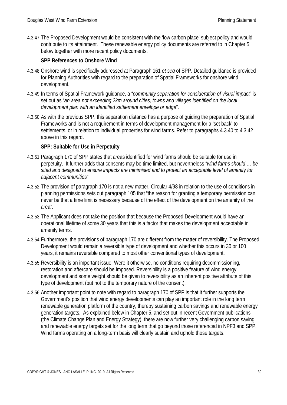4.3.47 The Proposed Development would be consistent with the 'low carbon place' subject policy and would contribute to its attainment. These renewable energy policy documents are referred to in Chapter 5 below together with more recent policy documents.

# **SPP References to Onshore Wind**

- 4.3.48 Onshore wind is specifically addressed at Paragraph 161 *et seq* of SPP. Detailed guidance is provided for Planning Authorities with regard to the preparation of Spatial Frameworks for onshore wind development.
- 4.3.49 In terms of Spatial Framework guidance, a "*community separation for consideration of visual impact*" is set out as "*an area not exceeding 2km around cities, towns and villages identified on the local development plan with an identified settlement envelope or edge*".
- 4.3.50 As with the previous SPP, this separation distance has a purpose of guiding the preparation of Spatial Frameworks and is not a requirement in terms of development management for a 'set back' to settlements, or in relation to individual properties for wind farms. Refer to paragraphs 4.3.40 to 4.3.42 above in this regard.

### **SPP: Suitable for Use in Perpetuity**

- 4.3.51 Paragraph 170 of SPP states that areas identified for wind farms should be suitable for use in perpetuity. It further adds that consents may be time limited, but nevertheless "*wind farms should … be sited and designed to ensure impacts are minimised and to protect an acceptable level of amenity for adjacent communities*".
- 4.3.52 The provision of paragraph 170 is not a new matter. Circular 4/98 in relation to the use of conditions in planning permissions sets out paragraph 105 that "the reason for granting a temporary permission can never be that a time limit is necessary because of the effect of the development on the amenity of the area".
- 4.3.53 The Applicant does not take the position that because the Proposed Development would have an operational lifetime of some 30 years that this is a factor that makes the development acceptable in amenity terms.
- 4.3.54 Furthermore, the provisions of paragraph 170 are different from the matter of reversibility. The Proposed Development would remain a reversible type of development and whether this occurs in 30 or 100 years, it remains reversible compared to most other conventional types of development.
- 4.3.55 Reversibility is an important issue. Were it otherwise, no conditions requiring decommissioning, restoration and aftercare should be imposed. Reversibility is a positive feature of wind energy development and some weight should be given to reversibility as an inherent positive attribute of this type of development (but not to the temporary nature of the consent).
- 4.3.56 Another important point to note with regard to paragraph 170 of SPP is that it further supports the Government's position that wind energy developments can play an important role in the long term renewable generation platform of the country, thereby sustaining carbon savings and renewable energy generation targets. As explained below in Chapter 5, and set out in recent Government publications (the Climate Change Plan and Energy Strategy): there are now further very challenging carbon saving and renewable energy targets set for the long term that go beyond those referenced in NPF3 and SPP. Wind farms operating on a long-term basis will clearly sustain and uphold those targets.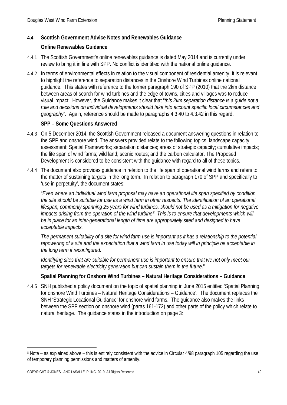### **4.4 Scottish Government Advice Notes and Renewables Guidance**

#### **Online Renewables Guidance**

- 4.4.1 The Scottish Government's online renewables guidance is dated May 2014 and is currently under review to bring it in line with SPP. No conflict is identified with the national online guidance.
- 4.4.2 In terms of environmental effects in relation to the visual component of residential amenity, it is relevant to highlight the reference to separation distances in the Onshore Wind Turbines online national guidance. This states with reference to the former paragraph 190 of SPP (2010) that the 2km distance between areas of search for wind turbines and the edge of towns, cities and villages was to reduce visual impact. However, the Guidance makes it clear that "*this 2km separation distance is a guide not a rule and decisions on individual developments should take into account specific local circumstances and geography*". Again, reference should be made to paragraphs 4.3.40 to 4.3.42 in this regard.

#### **SPP – Some Questions Answered**

- 4.4.3 On 5 December 2014, the Scottish Government released a document answering questions in relation to the SPP and onshore wind. The answers provided relate to the following topics: landscape capacity assessment; Spatial Frameworks; separation distances; areas of strategic capacity; cumulative impacts; the life span of wind farms; wild land; scenic routes; and the carbon calculator. The Proposed Development is considered to be consistent with the guidance with regard to all of these topics.
- 4.4.4 The document also provides guidance in relation to the life span of operational wind farms and refers to the matter of sustaining targets in the long term. In relation to paragraph 170 of SPP and specifically to 'use in perpetuity', the document states:

"*Even where an individual wind farm proposal may have an operational life span specified by condition the site should be suitable for use as a wind farm in other respects. The identification of an operational lifespan, commonly spanning 25 years for wind turbines, should not be used as a mitigation for negative impacts arising from the operation of the wind turbine[8.](#page-40-0) This is to ensure that developments which will*  be in place for an inter-generational length of time are appropriately sited and designed to have *acceptable impacts.*

*The permanent suitability of a site for wind farm use is important as it has a relationship to the potential repowering of a site and the expectation that a wind farm in use today will in principle be acceptable in the long term if reconfigured.*

*Identifying sites that are suitable for permanent use is important to ensure that we not only meet our targets for renewable electricity generation but can sustain them in the future*."

# **Spatial Planning for Onshore Wind Turbines – Natural Heritage Considerations – Guidance**

4.4.5 SNH published a policy document on the topic of spatial planning in June 2015 entitled 'Spatial Planning for onshore Wind Turbines – Natural Heritage Considerations – Guidance'. The document replaces the SNH 'Strategic Locational Guidance' for onshore wind farms. The guidance also makes the links between the SPP section on onshore wind (paras 161-172) and other parts of the policy which relate to natural heritage. The guidance states in the introduction on page 3:

COPYRIGHT © JONES LANG LASALLE IP, INC. 2019. All Rights Reserved 40

-

<span id="page-40-0"></span><sup>8</sup> Note – as explained above – this is entirely consistent with the advice in Circular 4/98 paragraph 105 regarding the use of temporary planning permissions and matters of amenity.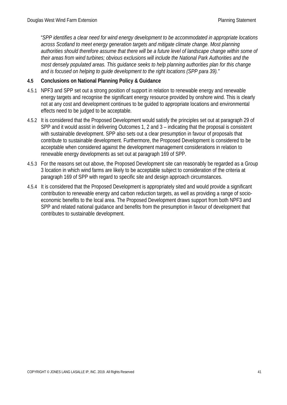"*SPP identifies a clear need for wind energy development to be accommodated in appropriate locations across Scotland to meet energy generation targets and mitigate climate change. Most planning authorities should therefore assume that there will be a future level of landscape change within some of their areas from wind turbines; obvious exclusions will include the National Park Authorities and the most densely populated areas. This guidance seeks to help planning authorities plan for this change and is focused on helping to guide development to the right locations (SPP para 39)."*

#### **4.5 Conclusions on National Planning Policy & Guidance**

- 4.5.1 NPF3 and SPP set out a strong position of support in relation to renewable energy and renewable energy targets and recognise the significant energy resource provided by onshore wind. This is clearly not at any cost and development continues to be guided to appropriate locations and environmental effects need to be judged to be acceptable.
- 4.5.2 It is considered that the Proposed Development would satisfy the principles set out at paragraph 29 of SPP and it would assist in delivering Outcomes 1, 2 and 3 – indicating that the proposal is consistent with sustainable development. SPP also sets out a clear presumption in favour of proposals that contribute to sustainable development. Furthermore, the Proposed Development is considered to be acceptable when considered against the development management considerations in relation to renewable energy developments as set out at paragraph 169 of SPP.
- 4.5.3 For the reasons set out above, the Proposed Development site can reasonably be regarded as a Group 3 location in which wind farms are likely to be acceptable subject to consideration of the criteria at paragraph 169 of SPP with regard to specific site and design approach circumstances.
- 4.5.4 It is considered that the Proposed Development is appropriately sited and would provide a significant contribution to renewable energy and carbon reduction targets, as well as providing a range of socioeconomic benefits to the local area. The Proposed Development draws support from both NPF3 and SPP and related national guidance and benefits from the presumption in favour of development that contributes to sustainable development.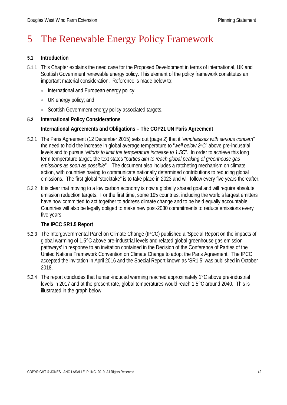# 5 The Renewable Energy Policy Framework

#### **5.1 Introduction**

- 5.1.1 This Chapter explains the need case for the Proposed Development in terms of international, UK and Scottish Government renewable energy policy. This element of the policy framework constitutes an important material consideration. Reference is made below to:
	- International and European energy policy;
	- UK energy policy; and
	- Scottish Government energy policy associated targets.

### **5.2 International Policy Considerations**

### **International Agreements and Obligations – The COP21 UN Paris Agreement**

- 5.2.1 The Paris Agreement (12 December 2015) sets out (page 2) that it "*emphasises with serious concern*" the need to hold the increase in global average temperature to "*well below 2oC*" above pre-industrial levels and to pursue "*efforts to limit the temperature increase to 1.5C*". In order to achieve this long term temperature target, the text states "*parties aim to reach global peaking of greenhouse gas emissions as soon as possible*". The document also includes a ratcheting mechanism on climate action, with countries having to communicate nationally determined contributions to reducing global emissions. The first global "stocktake" is to take place in 2023 and will follow every five years thereafter.
- 5.2.2 It is clear that moving to a low carbon economy is now a globally shared goal and will require absolute emission reduction targets. For the first time, some 195 countries, including the world's largest emitters have now committed to act together to address climate change and to be held equally accountable. Countries will also be legally obliged to make new post-2030 commitments to reduce emissions every five years.

#### **The IPCC SR1.5 Report**

- 5.2.3 The Intergovernmental Panel on Climate Change (IPCC) published a 'Special Report on the impacts of global warming of 1.5°C above pre-industrial levels and related global greenhouse gas emission pathways' in response to an invitation contained in the Decision of the Conference of Parties of the United Nations Framework Convention on Climate Change to adopt the Paris Agreement. The IPCC accepted the invitation in April 2016 and the Special Report known as 'SR1.5' was published in October 2018.
- 5.2.4 The report concludes that human-induced warming reached approximately 1°C above pre-industrial levels in 2017 and at the present rate, global temperatures would reach 1.5°C around 2040. This is illustrated in the graph below.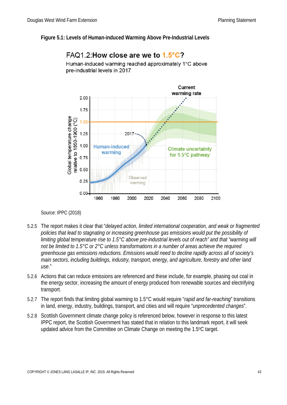#### **Figure 5.1: Levels of Human-induced Warming Above Pre-Industrial Levels**



# FAQ1.2 How close are we to  $1.5^{\circ}$ C?

Human-induced warming reached approximately 1°C above pre-industrial levels in 2017

Source: IPPC (2018)

- 5.2.5 The report makes it clear that "*delayed action, limited international cooperation, and weak or fragmented policies that lead to stagnating or increasing greenhouse gas emissions would put the possibility of limiting global temperature rise to 1.5°C above pre-industrial levels out of reach" and that "warming will not be limited to 1.5°C or 2°C unless transformations in a number of areas achieve the required greenhouse gas emissions reductions. Emissions would need to decline rapidly across all of society's main sectors, including buildings, industry, transport, energy, and agriculture, forestry and other land use*."
- 5.2.6 Actions that can reduce emissions are referenced and these include, for example, phasing out coal in the energy sector, increasing the amount of energy produced from renewable sources and electrifying transport.
- 5.2.7 The report finds that limiting global warming to 1.5°C would require "*rapid and far-reaching*" transitions in land, energy, industry, buildings, transport, and cities and will require "*unprecedented changes*".
- 5.2.8 Scottish Government climate change policy is referenced below, however in response to this latest IPPC report, the Scottish Government has stated that in relation to this landmark report, it will seek updated advice from the Committee on Climate Change on meeting the 1.5oC target.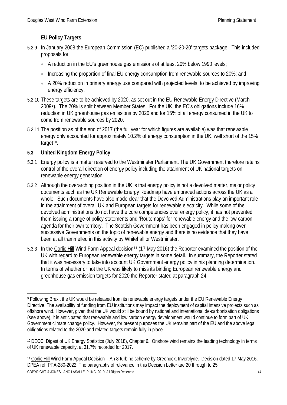# **EU Policy Targets**

- 5.2.9 In January 2008 the European Commission (EC) published a '20-20-20' targets package. This included proposals for:
	- A reduction in the EU's greenhouse gas emissions of at least 20% below 1990 levels;
	- Increasing the proportion of final EU energy consumption from renewable sources to 20%; and
	- A 20% reduction in primary energy use compared with projected levels, to be achieved by improving energy efficiency.
- 5.2.10 These targets are to be achieved by 2020, as set out in the EU Renewable Energy Directive (March 2009[9](#page-44-0)). The 20% is split between Member States. For the UK, the EC's obligations include 16% reduction in UK greenhouse gas emissions by 2020 and for 15% of all energy consumed in the UK to come from renewable sources by 2020.
- 5.2.11 The position as of the end of 2017 (the full year for which figures are available) was that renewable energy only accounted for approximately 10.2% of energy consumption in the UK, well short of the 15% target<sup>[10](#page-44-1)</sup>.

# **5.3 United Kingdom Energy Policy**

- 5.3.1 Energy policy is a matter reserved to the Westminster Parliament. The UK Government therefore retains control of the overall direction of energy policy including the attainment of UK national targets on renewable energy generation.
- 5.3.2 Although the overarching position in the UK is that energy policy is not a devolved matter, major policy documents such as the UK Renewable Energy Roadmap have embraced actions across the UK as a whole. Such documents have also made clear that the Devolved Administrations play an important role in the attainment of overall UK and European targets for renewable electricity. While some of the devolved administrations do not have the core competencies over energy policy, it has not prevented them issuing a range of policy statements and 'Routemaps' for renewable energy and the low carbon agenda for their own territory. The Scottish Government has been engaged in policy making over successive Governments on the topic of renewable energy and there is no evidence that they have been at all trammelled in this activity by Whitehall or Westminster.
- 5.3.3 In the Corlic Hill Wind Farm Appeal decision<sup>11</sup> (17 May 2016) the Reporter examined the position of the UK with regard to European renewable energy targets in some detail. In summary, the Reporter stated that it was necessary to take into account UK Government energy policy in his planning determination. In terms of whether or not the UK was likely to miss its binding European renewable energy and greenhouse gas emission targets for 2020 the Reporter stated at paragraph 24:-

<span id="page-44-0"></span><sup>-</sup><sup>9</sup> Following Brexit the UK would be released from its renewable energy targets under the EU Renewable Energy Directive. The availability of funding from EU institutions may impact the deployment of capital intensive projects such as offshore wind. However, given that the UK would still be bound by national and international de-carbonisation obligations (see above), it is anticipated that renewable and low carbon energy development would continue to form part of UK Government climate change policy. However, for present purposes the UK remains part of the EU and the above legal obligations related to the 2020 and related targets remain fully in place.

<span id="page-44-1"></span><sup>10</sup> DECC, Digest of UK Energy Statistics (July 2018), Chapter 6. Onshore wind remains the leading technology in terms of UK renewable capacity, at 31.7% recorded for 2017.

<span id="page-44-2"></span>COPYRIGHT © JONES LANG LASALLE IP, INC. 2019. All Rights Reserved 44 <sup>11</sup> Corlic Hill Wind Farm Appeal Decision – An 8-turbine scheme by Greenock, Inverclyde. Decision dated 17 May 2016. DPEA ref: PPA-280-2022. The paragraphs of relevance in this Decision Letter are 20 through to 25.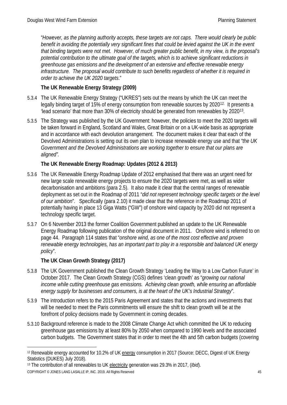"*However, as the planning authority accepts, these targets are not caps. There would clearly be public*  benefit in avoiding the potentially very significant fines that could be levied against the UK in the event *that binding targets were not met. However, of much greater public benefit, in my view, is the proposal's potential contribution to the ultimate goal of the targets, which is to achieve significant reductions in greenhouse gas emissions and the development of an extensive and effective renewable energy infrastructure. The proposal would contribute to such benefits regardless of whether it is required in order to achieve the UK 2020 targets*."

# **The UK Renewable Energy Strategy (2009)**

- 5.3.4 The UK Renewable Energy Strategy ("UKRES") sets out the means by which the UK can meet the legally binding target of 15% of energy consumption from renewable sources by 2020<sup>[12](#page-45-0).</sup> It presents a 'lead scenario' that more than 30% of electricity should be generated from renewables by 2020[13.](#page-45-1)
- 5.3.5 The Strategy was published by the UK Government: however, the policies to meet the 2020 targets will be taken forward in England, Scotland and Wales, Great Britain or on a UK-wide basis as appropriate and in accordance with each devolution arrangement. The document makes it clear that each of the Devolved Administrations is setting out its own plan to increase renewable energy use and that *"the UK Government and the Devolved Administrations are working together to ensure that our plans are aligned".*

# **The UK Renewable Energy Roadmap: Updates (2012 & 2013)**

- 5.3.6 The UK Renewable Energy Roadmap Update of 2012 emphasised that there was an urgent need for new large scale renewable energy projects to ensure the 2020 targets were met, as well as wider decarbonisation and ambitions (para 2.5). It also made it clear that the central ranges of renewable deployment as set out in the Roadmap of 2011 "*did not represent technology specific targets or the level of our ambition*". Specifically (para 2.10) it made clear that the reference in the Roadmap 2011 of potentially having in place 13 Giga Watts ("GW") of onshore wind capacity by 2020 did not represent a technology specific target.
- 5.3.7 On 6 November 2013 the former Coalition Government published an update to the UK Renewable Energy Roadmap following publication of the original document in 2011. Onshore wind is referred to on page 44. Paragraph 114 states that "*onshore wind, as one of the most cost effective and proven renewable energy technologies, has an important part to play in a responsible and balanced UK energy policy*".

# **The UK Clean Growth Strategy (2017)**

- 5.3.8 The UK Government published the Clean Growth Strategy 'Leading the Way to a Low Carbon Future' in October 2017. The Clean Growth Strategy (CGS) defines 'clean growth' as "*growing our national income while cutting greenhouse gas emissions. Achieving clean growth, while ensuring an affordable energy supply for businesses and consumers, is at the heart of the UK's Industrial Strategy*".
- 5.3.9 The introduction refers to the 2015 Paris Agreement and states that the actions and investments that will be needed to meet the Paris commitments will ensure the shift to clean growth will be at the forefront of policy decisions made by Government in coming decades.
- 5.3.10 Background reference is made to the 2008 Climate Change Act which committed the UK to reducing greenhouse gas emissions by at least 80% by 2050 when compared to 1990 levels and the associated carbon budgets. The Government states that in order to meet the 4th and 5th carbon budgets (covering

COPYRIGHT © JONES LANG LASALLE IP, INC. 2019. All Rights Reserved 45

<span id="page-45-0"></span><sup>-</sup><sup>12</sup> Renewable energy accounted for 10.2% of UK energy consumption in 2017 (Source: DECC, Digest of UK Energy Statistics (DUKES) July 2018).

<span id="page-45-1"></span><sup>13</sup> The contribution of all renewables to UK electricity generation was 29.3% in 2017, (*Ibid*).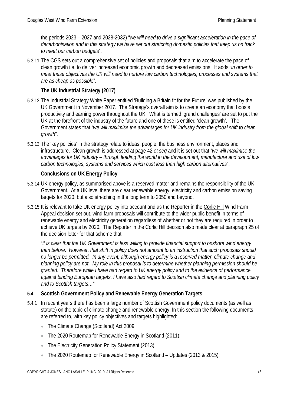the periods 2023 – 2027 and 2028-2032) "*we will need to drive a significant acceleration in the pace of decarbonisation and in this strategy we have set out stretching domestic policies that keep us on track to meet our carbon budgets*".

5.3.11 The CGS sets out a comprehensive set of policies and proposals that aim to accelerate the pace of clean growth i.e. to deliver increased economic growth and decreased emissions. It adds "*in order to meet these objectives the UK will need to nurture low carbon technologies, processes and systems that are as cheap as possibl*e".

# **The UK Industrial Strategy (2017)**

- 5.3.12 The Industrial Strategy White Paper entitled 'Building a Britain fit for the Future' was published by the UK Government in November 2017. The Strategy's overall aim is to create an economy that boosts productivity and earning power throughout the UK. What is termed 'grand challenges' are set to put the UK at the forefront of the industry of the future and one of these is entitled 'clean growth'. The Government states that "*we will maximise the advantages for UK industry from the global shift to clean growth*".
- 5.3.13 The 'key policies' in the strategy relate to ideas, people, the business environment, places and infrastructure. Clean growth is addressed at page 42 *et seq* and it is set out that "*we will maximise the advantages for UK industry – through leading the world in the development, manufacture and use of low carbon technologies, systems and services which cost less than high carbon alternatives*".

#### **Conclusions on UK Energy Policy**

- 5.3.14 UK energy policy, as summarised above is a reserved matter and remains the responsibility of the UK Government. At a UK level there are clear renewable energy, electricity and carbon emission saving targets for 2020, but also stretching in the long term to 2050 and beyond.
- 5.3.15 It is relevant to take UK energy policy into account and as the Reporter in the Corlic Hill Wind Farm Appeal decision set out, wind farm proposals will contribute to the wider public benefit in terms of renewable energy and electricity generation regardless of whether or not they are required in order to achieve UK targets by 2020. The Reporter in the Corlic Hill decision also made clear at paragraph 25 of the decision letter for that scheme that:

"*it is clear that the UK Government is less willing to provide financial support to onshore wind energy than before. However, that shift in policy does not amount to an instruction that such proposals should no longer be permitted. In any event, although energy policy is a reserved matter, climate change and planning policy are not. My role in this proposal is to determine whether planning permission should be granted. Therefore while I have had regard to UK energy policy and to the evidence of performance against binding European targets, I have also had regard to Scottish climate change and planning policy and to Scottish targets…*"

#### **5.4 Scottish Government Policy and Renewable Energy Generation Targets**

- 5.4.1 In recent years there has been a large number of Scottish Government policy documents (as well as statute) on the topic of climate change and renewable energy. In this section the following documents are referred to, with key policy objectives and targets highlighted:
	- The Climate Change (Scotland) Act 2009;
	- The 2020 Routemap for Renewable Energy in Scotland (2011);
	- The Electricity Generation Policy Statement (2013):
	- The 2020 Routemap for Renewable Energy in Scotland Updates (2013 & 2015);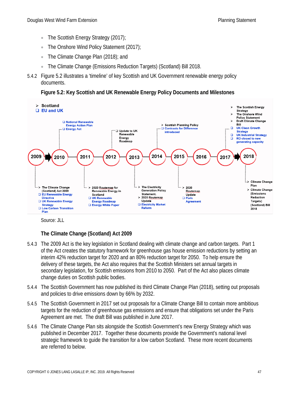- The Scottish Energy Strategy (2017);
- The Onshore Wind Policy Statement (2017);
- The Climate Change Plan (2018); and
- The Climate Change (Emissions Reduction Targets) (Scotland) Bill 2018.
- 5.4.2 Figure 5.2 illustrates a 'timeline' of key Scottish and UK Government renewable energy policy documents.

**Figure 5.2: Key Scottish and UK Renewable Energy Policy Documents and Milestones**



Source: JLL

# **The Climate Change (Scotland) Act 2009**

- 5.4.3 The 2009 Act is the key legislation in Scotland dealing with climate change and carbon targets. Part 1 of the Act creates the statutory framework for greenhouse gas house emission reductions by setting an interim 42% reduction target for 2020 and an 80% reduction target for 2050. To help ensure the delivery of these targets, the Act also requires that the Scottish Ministers set annual targets in secondary legislation, for Scottish emissions from 2010 to 2050. Part of the Act also places climate change duties on Scottish public bodies.
- 5.4.4 The Scottish Government has now published its third Climate Change Plan (2018), setting out proposals and policies to drive emissions down by 66% by 2032.
- 5.4.5 The Scottish Government in 2017 set out proposals for a Climate Change Bill to contain more ambitious targets for the reduction of greenhouse gas emissions and ensure that obligations set under the Paris Agreement are met. The draft Bill was published in June 2017.
- 5.4.6 The Climate Change Plan sits alongside the Scottish Government's new Energy Strategy which was published in December 2017. Together these documents provide the Government's national level strategic framework to guide the transition for a low carbon Scotland. These more recent documents are referred to below.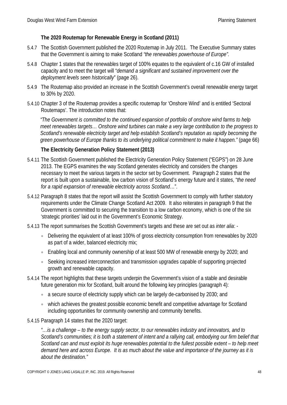### **The 2020 Routemap for Renewable Energy in Scotland (2011)**

- 5.4.7 The Scottish Government published the 2020 Routemap in July 2011. The Executive Summary states that the Government is aiming to make Scotland *"the renewables powerhouse of Europe".*
- 5.4.8 Chapter 1 states that the renewables target of 100% equates to the equivalent of c.16 GW of installed capacity and to meet the target will "*demand a significant and sustained improvement over the deployment levels seen historically*" (page 26).
- 5.4.9 The Routemap also provided an increase in the Scottish Government's overall renewable energy target to 30% by 2020.
- 5.4.10 Chapter 3 of the Routemap provides a specific routemap for 'Onshore Wind' and is entitled 'Sectoral Routemaps'. The introduction notes that:

*"The Government is committed to the continued expansion of portfolio of onshore wind farms to help meet renewables targets… Onshore wind turbines can make a very large contribution to the progress to Scotland's renewable electricity target and help establish Scotland's reputation as rapidly becoming the green powerhouse of Europe thanks to its underlying political commitment to make it happen."* (page 66)

### **The Electricity Generation Policy Statement (2013)**

- 5.4.11 The Scottish Government published the Electricity Generation Policy Statement ("EGPS") on 28 June 2013. The EGPS examines the way Scotland generates electricity and considers the changes necessary to meet the various targets in the sector set by Government. Paragraph 2 states that the report is built upon a sustainable, low carbon vision of Scotland's energy future and it states, "*the need for a rapid expansion of renewable electricity across Scotland*…".
- 5.4.12 Paragraph 8 states that the report will assist the Scottish Government to comply with further statutory requirements under the Climate Change Scotland Act 2009. It also reiterates in paragraph 9 that the Government is committed to securing the transition to a low carbon economy, which is one of the six 'strategic priorities' laid out in the Government's Economic Strategy.
- 5.4.13 The report summarises the Scottish Government's targets and these are set out as *inter alia*:
	- Delivering the equivalent of at least 100% of gross electricity consumption from renewables by 2020 as part of a wider, balanced electricity mix;
	- Enabling local and community ownership of at least 500 MW of renewable energy by 2020; and
	- Seeking increased interconnection and transmission upgrades capable of supporting projected growth and renewable capacity.
- 5.4.14 The report highlights that these targets underpin the Government's vision of a stable and desirable future generation mix for Scotland, built around the following key principles (paragraph 4):
	- a secure source of electricity supply which can be largely de-carbonised by 2030; and
	- which achieves the greatest possible economic benefit and competitive advantage for Scotland including opportunities for community ownership and community benefits.
- 5.4.15 Paragraph 14 states that the 2020 target:

*"…is a challenge – to the energy supply sector, to our renewables industry and innovators, and to Scotland's communities; it is both a statement of intent and a rallying call, embodying our firm belief that Scotland can and must exploit its huge renewables potential to the fullest possible extent – to help meet demand here and across Europe. It is as much about the value and importance of the journey as it is about the destination."*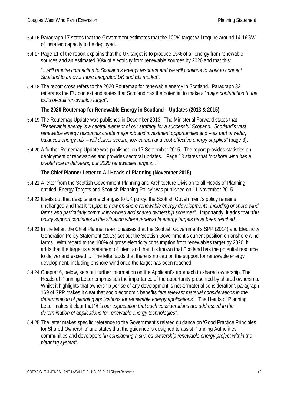- 5.4.16 Paragraph 17 states that the Government estimates that the 100% target will require around 14-16GW of installed capacity to be deployed.
- 5.4.17 Page 11 of the report explains that the UK target is to produce 15% of all energy from renewable sources and an estimated 30% of electricity from renewable sources by 2020 and that this:

*"…will require connection to Scotland's energy resource and we will continue to work to connect Scotland to an ever more integrated UK and EU market".*

5.4.18 The report cross refers to the 2020 Routemap for renewable energy in Scotland. Paragraph 32 reiterates the EU context and states that Scotland has the potential to make a "*major contribution to the EU's overall renewables target*".

### **The 2020 Routemap for Renewable Energy in Scotland – Updates (2013 & 2015)**

- 5.4.19 The Routemap Update was published in December 2013. The Ministerial Forward states that *"Renewable energy is a central element of our strategy for a successful Scotland. Scotland's vast renewable energy resources create major job and investment opportunities and – as part of wider, balanced energy mix – will deliver secure, low carbon and cost-effective energy supplies"* (page 3).
- 5.4.20 A further Routemap Update was published on 17 September 2015. The report provides statistics on deployment of renewables and provides sectoral updates. Page 13 states that "*onshore wind has a pivotal role in delivering our 2020 renewables targets…*".

### **The Chief Planner Letter to All Heads of Planning (November 2015)**

- 5.4.21 A letter from the Scottish Government Planning and Architecture Division to all Heads of Planning entitled 'Energy Targets and Scottish Planning Policy' was published on 11 November 2015.
- 5.4.22 It sets out that despite some changes to UK policy, the Scottish Government's policy remains unchanged and that it "*supports new on-shore renewable energy developments, including onshore wind farms and particularly community-owned and shared ownership schemes*". Importantly, it adds that "*this policy support continues in the situation where renewable energy targets have been reached*".
- 5.4.23 In the letter, the Chief Planner re-emphasises that the Scottish Government's SPP (2014) and Electricity Generation Policy Statement (2013) set out the Scottish Government's current position on onshore wind farms. With regard to the 100% of gross electricity consumption from renewables target by 2020, it adds that the target is a statement of intent and that it is known that Scotland has the potential resource to deliver and exceed it. The letter adds that there is no cap on the support for renewable energy development, including onshore wind once the target has been reached.
- 5.4.24 Chapter 6, below, sets out further information on the Applicant's approach to shared ownership. The Heads of Planning Letter emphasises the importance of the opportunity presented by shared ownership. Whilst it highlights that ownership *per se* of any development is not a 'material consideration', paragraph 169 of SPP makes it clear that socio economic benefits *"are relevant material considerations in the determination of planning applications for renewable energy applications*". The Heads of Planning Letter makes it clear that "*it is our expectation that such considerations are addressed in the determination of applications for renewable energy technologies*".
- 5.4.25 The letter makes specific reference to the Government's related guidance on 'Good Practice Principles for Shared Ownership' and states that the guidance is designed to assist Planning Authorities, communities and developers *"in considering a shared ownership renewable energy project within the planning system".*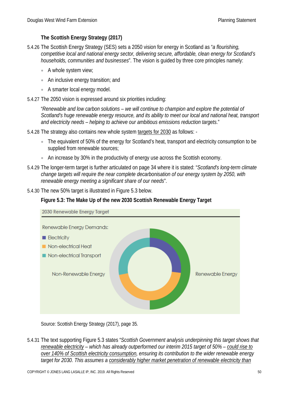# **The Scottish Energy Strategy (2017)**

- 5.4.26 The Scottish Energy Strategy (SES) sets a 2050 vision for energy in Scotland as "*a flourishing, competitive local and national energy sector, delivering secure, affordable, clean energy for Scotland's households, communities and businesses*". The vision is guided by three core principles namely:
	- A whole system view;
	- An inclusive energy transition; and
	- A smarter local energy model.
- 5.4.27 The 2050 vision is expressed around six priorities including:

"*Renewable and low carbon solutions – we will continue to champion and explore the potential of Scotland's huge renewable energy resource, and its ability to meet our local and national heat, transport and electricity needs – helping to achieve our ambitious emissions reduction targets*."

5.4.28 The strategy also contains new whole system targets for 2030 as follows: -

- The equivalent of 50% of the energy for Scotland's heat, transport and electricity consumption to be supplied from renewable sources;
- An increase by 30% in the productivity of energy use across the Scottish economy.
- 5.4.29 The longer-term target is further articulated on page 34 where it is stated: "*Scotland's long-term climate change targets will require the near complete decarbonisation of our energy system by 2050, with renewable energy meeting a significant share of our needs*".
- 5.4.30 The new 50% target is illustrated in Figure 5.3 below.

# **Figure 5.3: The Make Up of the new 2030 Scottish Renewable Energy Target**



Source: Scottish Energy Strategy (2017), page 35.

5.4.31 The text supporting Figure 5.3 states "*Scottish Government analysis underpinning this target shows that renewable electricity – which has already outperformed our interim 2015 target of 50% – could rise to over 140% of Scottish electricity consumption, ensuring its contribution to the wider renewable energy target for 2030. This assumes a considerably higher market penetration of renewable electricity than*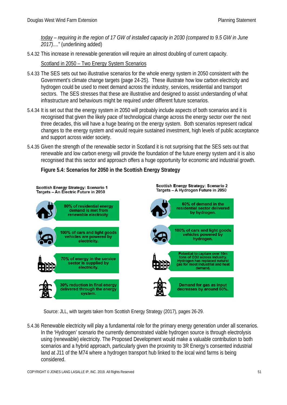*today – requiring in the region of 17 GW of installed capacity in 2030 (compared to 9.5 GW in June 2017)....*" (underlining added)

5.4.32 This increase in renewable generation will require an almost doubling of current capacity.

Scotland in 2050 – Two Energy System Scenarios

- 5.4.33 The SES sets out two illustrative scenarios for the whole energy system in 2050 consistent with the Government's climate change targets (page 24-25). These illustrate how low carbon electricity and hydrogen could be used to meet demand across the industry, services, residential and transport sectors. The SES stresses that these are illustrative and designed to assist understanding of what infrastructure and behaviours might be required under different future scenarios.
- 5.4.34 It is set out that the energy system in 2050 will probably include aspects of both scenarios and it is recognised that given the likely pace of technological change across the energy sector over the next three decades, this will have a huge bearing on the energy system. Both scenarios represent radical changes to the energy system and would require sustained investment, high levels of public acceptance and support across wider society.
- 5.4.35 Given the strength of the renewable sector in Scotland it is not surprising that the SES sets out that renewable and low carbon energy will provide the foundation of the future energy system and it is also recognised that this sector and approach offers a huge opportunity for economic and industrial growth.

**Figure 5.4: Scenarios for 2050 in the Scottish Energy Strategy**



Source: JLL, with targets taken from Scottish Energy Strategy (2017), pages 26-29.

5.4.36 Renewable electricity will play a fundamental role for the primary energy generation under all scenarios. In the 'Hydrogen' scenario the currently demonstrated viable hydrogen source is through electrolysis using (renewable) electricity. The Proposed Development would make a valuable contribution to both scenarios and a hybrid approach, particularly given the proximity to 3R Energy's consented industrial land at J11 of the M74 where a hydrogen transport hub linked to the local wind farms is being considered.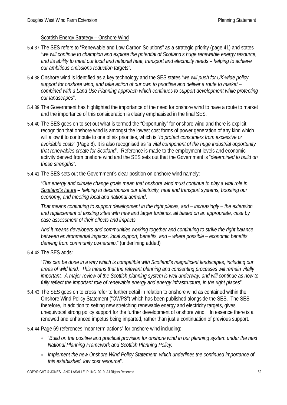### Scottish Energy Strategy – Onshore Wind

- 5.4.37 The SES refers to "Renewable and Low Carbon Solutions" as a strategic priority (page 41) and states "*we will continue to champion and explore the potential of Scotland's huge renewable energy resource, and its ability to meet our local and national heat, transport and electricity needs – helping to achieve our ambitious emissions reduction targets*".
- 5.4.38 Onshore wind is identified as a key technology and the SES states "*we will push for UK-wide policy support for onshore wind, and take action of our own to prioritise and deliver a route to market – combined with a Land Use Planning approach which continues to support development while protecting our landscapes*".
- 5.4.39 The Government has highlighted the importance of the need for onshore wind to have a route to market and the importance of this consideration is clearly emphasised in the final SES.
- 5.4.40 The SES goes on to set out what is termed the "Opportunity" for onshore wind and there is explicit recognition that onshore wind is amongst the lowest cost forms of power generation of any kind which will allow it to contribute to one of six priorities, which is "*to protect consumers from excessive or avoidable costs*" (Page 8). It is also recognised as "*a vital component of the huge industrial opportunity that renewables create for Scotland*". Reference is made to the employment levels and economic activity derived from onshore wind and the SES sets out that the Government is "*determined to build on these strengths*".
- 5.4.41 The SES sets out the Government's clear position on onshore wind namely:

"*Our energy and climate change goals mean that onshore wind must continue to play a vital role in Scotland's future – helping to decarbonise our electricity, heat and transport systems, boosting our economy, and meeting local and national demand*.

*That means continuing to support development in the right places, and – increasingly – the extension and replacement of existing sites with new and larger turbines, all based on an appropriate, case by case assessment of their effects and impacts.*

*And it means developers and communities working together and continuing to strike the right balance between environmental impacts, local support, benefits, and – where possible – economic benefits deriving from community ownership*." (underlining added)

5.4.42 The SES adds:

"*This can be done in a way which is compatible with Scotland's magnificent landscapes, including our areas of wild land. This means that the relevant planning and consenting processes will remain vitally important. A major review of the Scottish planning system is well underway, and will continue as now to fully reflect the important role of renewable energy and energy infrastructure, in the right places*".

- 5.4.43 The SES goes on to cross refer to further detail in relation to onshore wind as contained within the Onshore Wind Policy Statement ("OWPS") which has been published alongside the SES. The SES therefore, in addition to setting new stretching renewable energy and electricity targets, gives unequivocal strong policy support for the further development of onshore wind. In essence there is a renewed and enhanced impetus being imparted, rather than just a continuation of previous support.
- 5.4.44 Page 69 references "near term actions" for onshore wind including:
	- "*Build on the positive and practical provision for onshore wind in our planning system under the next National Planning Framework and Scottish Planning Policy.*
	- *Implement the new Onshore Wind Policy Statement, which underlines the continued importance of this established, low cost resource*".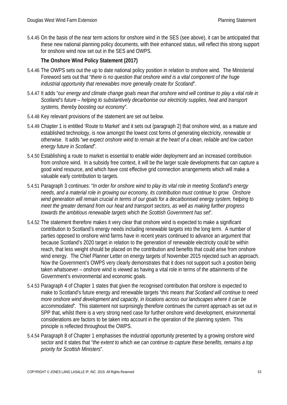5.4.45 On the basis of the near term actions for onshore wind in the SES (see above), it can be anticipated that these new national planning policy documents, with their enhanced status, will reflect this strong support for onshore wind now set out in the SES and OWPS.

# **The Onshore Wind Policy Statement (2017)**

- 5.4.46 The OWPS sets out the up to date national policy position in relation to onshore wind. The Ministerial Foreword sets out that "*there is no question that onshore wind is a vital component of the huge industrial opportunity that renewables more generally create for Scotland*".
- 5.4.47 It adds "*our energy and climate change goals mean that onshore wind will continue to play a vital role in Scotland's future – helping to substantively decarbonise our electricity supplies, heat and transport systems, thereby boosting our economy*".
- 5.4.48 Key relevant provisions of the statement are set out below.
- 5.4.49 Chapter 1 is entitled 'Route to Market' and it sets out (paragraph 2) that onshore wind, as a mature and established technology, is now amongst the lowest cost forms of generating electricity, renewable or otherwise. It adds "*we expect onshore wind to remain at the heart of a clean, reliable and low carbon energy future in Scotland*".
- 5.4.50 Establishing a route to market is essential to enable wider deployment and an increased contribution from onshore wind. In a subsidy free context, it will be the larger scale developments that can capture a good wind resource, and which have cost effective grid connection arrangements which will make a valuable early contribution to targets.
- 5.4.51 Paragraph 3 continues: "*In order for onshore wind to play its vital role in meeting Scotland's energy needs, and a material role in growing our economy, its contribution must continue to grow. Onshore wind generation will remain crucial in terms of our goals for a decarbonised energy system, helping to meet the greater demand from our heat and transport sectors, as well as making further progress towards the ambitious renewable targets which the Scottish Government has set*".
- 5.4.52 The statement therefore makes it very clear that onshore wind is expected to make a significant contribution to Scotland's energy needs including renewable targets into the long term. A number of parties opposed to onshore wind farms have in recent years continued to advance an argument that because Scotland's 2020 target in relation to the generation of renewable electricity could be within reach, that less weight should be placed on the contribution and benefits that could arise from onshore wind energy. The Chief Planner Letter on energy targets of November 2015 rejected such an approach. Now the Government's OWPS very clearly demonstrates that it does not support such a position being taken whatsoever – onshore wind is viewed as having a vital role in terms of the attainments of the Government's environmental and economic goals.
- 5.4.53 Paragraph 4 of Chapter 1 states that given the recognised contribution that onshore is expected to make to Scotland's future energy and renewable targets "*this means that Scotland will continue to need more onshore wind development and capacity, in locations across our landscapes where it can be accommodated*". This statement not surprisingly therefore continues the current approach as set out in SPP that, whilst there is a very strong need case for further onshore wind development, environmental considerations are factors to be taken into account in the operation of the planning system. This principle is reflected throughout the OWPS.
- 5.4.54 Paragraph 8 of Chapter 1 emphasises the industrial opportunity presented by a growing onshore wind sector and it states that "*the extent to which we can continue to capture these benefits, remains a top priority for Scottish Ministers*".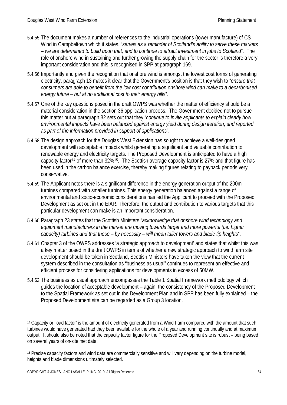- 5.4.55 The document makes a number of references to the industrial operations (tower manufacture) of CS Wind in Campbeltown which it states, "*serves as a reminder of Scotland's ability to serve these markets – we are determined to build upon that, and to continue to attract investment in jobs to Scotland*". The role of onshore wind in sustaining and further growing the supply chain for the sector is therefore a very important consideration and this is recognised in SPP at paragraph 169.
- 5.4.56 Importantly and given the recognition that onshore wind is amongst the lowest cost forms of generating electricity, paragraph 13 makes it clear that the Government's position is that they wish to "*ensure that consumers are able to benefit from the low cost contribution onshore wind can make to a decarbonised energy future – but at no additional cost to their energy bills*".
- 5.4.57 One of the key questions posed in the draft OWPS was whether the matter of efficiency should be a material consideration in the section 36 application process. The Government decided not to pursue this matter but at paragraph 32 sets out that they "*continue to invite applicants to explain clearly how environmental impacts have been balanced against energy yield during design iteration, and reported as part of the information provided in support of applications*".
- 5.4.58 The design approach for the Douglas West Extension has sought to achieve a well-designed development with acceptable impacts whilst generating a significant and valuable contribution to renewable energy and electricity targets. The Proposed Development is anticipated to have a high capacity factor[14](#page-54-0) of more than 32%[15.](#page-54-1) The Scottish average capacity factor is 27% and that figure has been used in the carbon balance exercise, thereby making figures relating to payback periods very conservative.
- 5.4.59 The Applicant notes there is a significant difference in the energy generation output of the 200m turbines compared with smaller turbines. This energy generation balanced against a range of environmental and socio-economic considerations has led the Applicant to proceed with the Proposed Development as set out in the EIAR. Therefore, the output and contribution to various targets that this particular development can make is an important consideration.
- 5.4.60 Paragraph 23 states that the Scottish Ministers "*acknowledge that onshore wind technology and equipment manufacturers in the market are moving towards larger and more powerful (i.e. higher capacity) turbines and that these – by necessity – will mean taller towers and blade tip heights*".
- 5.4.61 Chapter 3 of the OWPS addresses 'a strategic approach to development' and states that whilst this was a key matter posed in the draft OWPS in terms of whether a new strategic approach to wind farm site development should be taken in Scotland, Scottish Ministers have taken the view that the current system described in the consultation as "business as usual" continues to represent an effective and efficient process for considering applications for developments in excess of 50MW.
- 5.4.62 The business as usual approach encompasses the Table 1 Spatial Framework methodology which guides the location of acceptable development – again, the consistency of the Proposed Development to the Spatial Framework as set out in the Development Plan and in SPP has been fully explained – the Proposed Development site can be regarded as a Group 3 location.

<u>.</u>

<span id="page-54-0"></span><sup>14</sup> Capacity or 'load factor' is the amount of electricity generated from a Wind Farm compared with the amount that such turbines would have generated had they been available for the whole of a year and running continually and at maximum output. It should also be noted that the capacity factor figure for the Proposed Development site is robust – being based on several years of on-site met data.

<span id="page-54-1"></span><sup>15</sup> Precise capacity factors and wind data are commercially sensitive and will vary depending on the turbine model, heights and blade dimensions ultimately selected.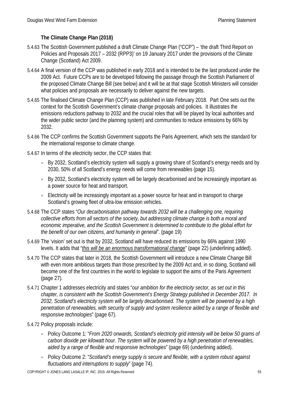# **The Climate Change Plan (2018)**

- 5.4.63 The Scottish Government published a draft Climate Change Plan ("CCP") 'the draft Third Report on Policies and Proposals 2017 – 2032 (RPP3)' on 19 January 2017 under the provisions of the Climate Change (Scotland) Act 2009.
- 5.4.64 A final version of the CCP was published in early 2018 and is intended to be the last produced under the 2009 Act. Future CCPs are to be developed following the passage through the Scottish Parliament of the proposed Climate Change Bill (see below) and it will be at that stage Scottish Ministers will consider what policies and proposals are necessarily to deliver against the new targets.
- 5.4.65 The finalised Climate Change Plan (CCP) was published in late February 2018. Part One sets out the context for the Scottish Government's climate change proposals and policies. It illustrates the emissions reductions pathway to 2032 and the crucial roles that will be played by local authorities and the wider public sector (and the planning system) and communities to reduce emissions by 66% by 2032.
- 5.4.66 The CCP confirms the Scottish Government supports the Paris Agreement, which sets the standard for the international response to climate change.
- 5.4.67 In terms of the electricity sector, the CCP states that:
	- By 2032, Scotland's electricity system will supply a growing share of Scotland's energy needs and by 2030, 50% of all Scotland's energy needs will come from renewables (page 15).
	- By 2032, Scotland's electricity system will be largely decarbonised and be increasingly important as a power source for heat and transport.
	- Electricity will be increasingly important as a power source for heat and in transport to charge Scotland's growing fleet of ultra-low emission vehicles.
- 5.4.68 The CCP states "*Our decarbonisation pathway towards 2032 will be a challenging one, requiring collective efforts from all sectors of the society, but addressing climate change is both a moral and economic imperative, and the Scottish Government is determined to contribute to the global effort for the benefit of our own citizens, and humanity in general*". (page 19)
- 5.4.69 The 'vision' set out is that by 2032, Scotland will have reduced its emissions by 66% against 1990 levels. It adds that "*this will be an enormous transformational change*" (page 22) (underlining added).
- 5.4.70 The CCP states that later in 2018, the Scottish Government will introduce a new Climate Change Bill with even more ambitious targets than those prescribed by the 2009 Act and, in so doing, Scotland will become one of the first countries in the world to legislate to support the aims of the Paris Agreement (page 27).
- 5.4.71 Chapter 1 addresses electricity and states "*our ambition for the electricity sector, as set out in this chapter, is consistent with the Scottish Government's Energy Strategy published in December 2017. In 2032, Scotland's electricity system will be largely decarbonised. The system will be powered by a high penetration of renewables, with security of supply and system resilience aided by a range of flexible and responsive technologies*" (page 67).
- 5.4.72 Policy proposals include:
	- Policy Outcome 1: "*From 2020 onwards, Scotland's electricity grid intensity will be below 50 grams of carbon dioxide per kilowatt hour. The system will be powered by a high penetration of renewables, aided by a range of flexible and responsive technologies*" (page 69) (underlining added).
	- Policy Outcome 2: "*Scotland's energy supply is secure and flexible, with a system robust against fluctuations and interruptions to supply*" (page 74).

COPYRIGHT © JONES LANG LASALLE IP, INC. 2019. All Rights Reserved 55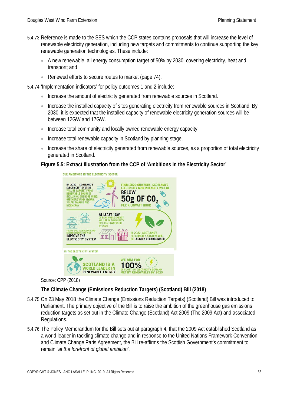- 5.4.73 Reference is made to the SES which the CCP states contains proposals that will increase the level of renewable electricity generation, including new targets and commitments to continue supporting the key renewable generation technologies. These include:
	- A new renewable, all energy consumption target of 50% by 2030, covering electricity, heat and transport; and
	- Renewed efforts to secure routes to market (page 74).
- 5.4.74 'Implementation indicators' for policy outcomes 1 and 2 include:
	- Increase the amount of electricity generated from renewable sources in Scotland.
	- Increase the installed capacity of sites generating electricity from renewable sources in Scotland. By 2030, it is expected that the installed capacity of renewable electricity generation sources will be between 12GW and 17GW.
	- Increase total community and locally owned renewable energy capacity.
	- Increase total renewable capacity in Scotland by planning stage.
	- Increase the share of electricity generated from renewable sources, as a proportion of total electricity generated in Scotland.

### **Figure 5.5: Extract Illustration from the CCP of 'Ambitions in the Electricity Sector'**



Source: CPP (2018)

# **The Climate Change (Emissions Reduction Targets) (Scotland) Bill (2018)**

- 5.4.75 On 23 May 2018 the Climate Change (Emissions Reduction Targets) (Scotland) Bill was introduced to Parliament. The primary objective of the Bill is to raise the ambition of the greenhouse gas emissions reduction targets as set out in the Climate Change (Scotland) Act 2009 (The 2009 Act) and associated Regulations.
- 5.4.76 The Policy Memorandum for the Bill sets out at paragraph 4, that the 2009 Act established Scotland as a world leader in tackling climate change and in response to the United Nations Framework Convention and Climate Change Paris Agreement, the Bill re-affirms the Scottish Government's commitment to remain "*at the forefront of global ambition*".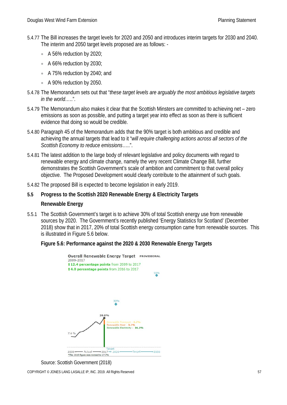- 5.4.77 The Bill increases the target levels for 2020 and 2050 and introduces interim targets for 2030 and 2040. The interim and 2050 target levels proposed are as follows: -
	- A 56% reduction by 2020;
	- A 66% reduction by 2030;
	- A 75% reduction by 2040; and
	- A 90% reduction by 2050.
- 5.4.78 The Memorandum sets out that "*these target levels are arguably the most ambitious legislative targets in the world…*..".
- 5.4.79 The Memorandum also makes it clear that the Scottish Minsters are committed to achieving net zero emissions as soon as possible, and putting a target year into effect as soon as there is sufficient evidence that doing so would be credible.
- 5.4.80 Paragraph 45 of the Memorandum adds that the 90% target is both ambitious and credible and achieving the annual targets that lead to it "*will require challenging actions across all sectors of the Scottish Economy to reduce emissions*…..".
- 5.4.81 The latest addition to the large body of relevant legislative and policy documents with regard to renewable energy and climate change, namely the very recent Climate Change Bill, further demonstrates the Scottish Government's scale of ambition and commitment to that overall policy objective. The Proposed Development would clearly contribute to the attainment of such goals.
- 5.4.82 The proposed Bill is expected to become legislation in early 2019.
- **5.5 Progress to the Scottish 2020 Renewable Energy & Electricity Targets**

#### **Renewable Energy**

5.5.1 The Scottish Government's target is to achieve 30% of total Scottish energy use from renewable sources by 2020. The Government's recently published 'Energy Statistics for Scotland' (December 2018) show that in 2017, 20% of total Scottish energy consumption came from renewable sources. This is illustrated in Figure 5.6 below.

#### **Figure 5.6: Performance against the 2020 & 2030 Renewable Energy Targets**



Source: Scottish Government (2018)

COPYRIGHT © JONES LANG LASALLE IP, INC. 2019. All Rights Reserved 57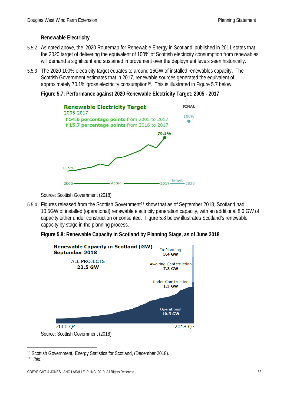# **Renewable Electricity**

- 5.5.2 As noted above, the '2020 Routemap for Renewable Energy in Scotland' published in 2011 states that the 2020 target of delivering the equivalent of 100% of Scottish electricity consumption from renewables will demand a significant and sustained improvement over the deployment levels seen historically.
- 5.5.3 The 2020 100% electricity target equates to around 16GW of installed renewables capacity. The Scottish Government estimates that in 2017, renewable sources generated the equivalent of approximately 70.1% gross electricity consumption<sup>16</sup>. This is illustrated in Figure 5.7 below.

#### **Figure 5.7: Performance against 2020 Renewable Electricity Target: 2005 - 2017**

| <b>Renewable Electricity Target</b><br>2005-2017                                               | <b>FINAL</b> |
|------------------------------------------------------------------------------------------------|--------------|
| <b>154.6 percentage points</b> from 2005 to 2017<br>t 15.7 percentage points from 2016 to 2017 | 100%         |
| 70.1%<br>15.5%                                                                                 |              |
| Actual<br>2005                                                                                 | Target       |

Source: Scottish Government (2018)

- 5.5.4 Figures released from the Scottish Government<sup>[17](#page-58-1)</sup> show that as of September 2018, Scotland had 10.5GW of installed (operational) renewable electricity generation capacity, with an additional 8.6 GW of capacity either under construction or consented. Figure 5.8 below illustrates Scotland's renewable capacity by stage in the planning process.
	- **Figure 5.8: Renewable Capacity in Scotland by Planning Stage, as of June 2018**



<span id="page-58-1"></span><span id="page-58-0"></span> <sup>16</sup> Scottish Government, Energy Statistics for Scotland, (December 2018). <sup>17</sup> *ibid*.

COPYRIGHT © JONES LANG LASALLE IP, INC. 2019. All Rights Reserved 58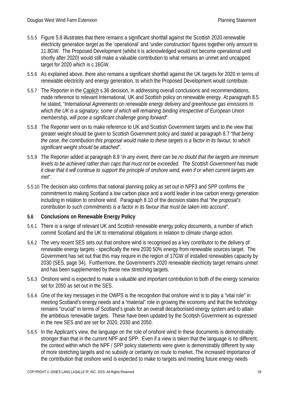- 5.5.5 Figure 5.8 illustrates that there remains a significant shortfall against the Scottish 2020 renewable electricity generation target as the 'operational' and 'under construction' figures together only amount to 11.8GW. The Proposed Development (whilst it is acknowledged would not become operational until shortly after 2020) would still make a valuable contribution to what remains an unmet and uncapped target for 2020 which is c.16GW.
- 5.5.6 As explained above, there also remains a significant shortfall against the UK targets for 2020 in terms of renewable electricity and energy generation, to which the Proposed Development would contribute.
- 5.5.7 The Reporter in the Caplich s.36 decision, in addressing overall conclusions and recommendations, made reference to relevant International, UK and Scottish policy on renewable energy. At paragraph 8.5 he stated, "*International Agreements on renewable energy delivery and greenhouse gas emissions to which the UK is a signatory, some of which will remaining binding irrespective of European Union membership, will pose a significant challenge going forward*".
- 5.5.8 The Reporter went on to make reference to UK and Scottish Government targets and to the view that greater weight should be given to Scottish Government policy and stated at paragraph 8.7 *"that being the case, the contribution this proposal would make to these targets is a factor in its favour, to which significant weight should be attached*".
- 5.5.9 The Reporter added at paragraph 8.9 "*in any event, there can be no doubt that the targets are minimum levels to be achieved rather than caps that must not be exceeded. The Scottish Government has made it clear that it will continue to support the principle of onshore wind, even if or when current targets are met*".
- 5.5.10 The decision also confirms that national planning policy as set out in NPF3 and SPP confirms the commitment to making Scotland a low carbon place and a world leader in low carbon energy generation including in relation to onshore wind. Paragraph 8.10 of the decision states that "*the proposal's contribution to such commitments is a factor in its favour that must be taken into account*".

# **5.6 Conclusions on Renewable Energy Policy**

- 5.6.1 There is a range of relevant UK and Scottish renewable energy policy documents, a number of which commit Scotland and the UK to international obligations in relation to climate change action.
- 5.6.2 The very recent SES sets out that onshore wind is recognised as a key contributor to the delivery of renewable energy targets - specifically the new 2030 50% energy from renewable sources target. The Government has set out that this may require in the region of 17GW of installed renewables capacity by 2030 (SES, page 34). Furthermore, the Government's 2020 renewable electricity target remains unmet and has been supplemented by these new stretching targets.
- 5.6.3 Onshore wind is expected to make a valuable and important contribution to both of the energy scenarios set for 2050 as set out in the SES.
- 5.6.4 One of the key messages in the OWPS is the recognition that onshore wind is to play a "vital role" in meeting Scotland's energy needs and a "material" role in growing the economy and that the technology remains "crucial" in terms of Scotland's goals for an overall decarbonised energy system and to attain the ambitious renewable targets. These have been updated by the Scottish Government as expressed in the new SES and are set for 2020, 2030 and 2050.
- 5.6.5 In the Applicant's view, the language on the role of onshore wind in these documents is demonstrably stronger than that in the current NPF and SPP. Even if a view is taken that the language is no different, the context within which the NPF / SPP policy statements were given is demonstrably different by way of more stretching targets and no subsidy or certainty on route to market. The increased importance of the contribution that onshore wind is expected to make to targets and meeting future energy needs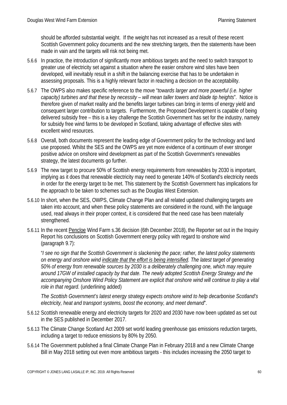should be afforded substantial weight. If the weight has not increased as a result of these recent Scottish Government policy documents and the new stretching targets, then the statements have been made in vain and the targets will risk not being met.

- 5.6.6 In practice, the introduction of significantly more ambitious targets and the need to switch transport to greater use of electricity set against a situation where the easier onshore wind sites have been developed, will inevitably result in a shift in the balancing exercise that has to be undertaken in assessing proposals. This is a highly relevant factor in reaching a decision on the acceptability.
- 5.6.7 The OWPS also makes specific reference to the move "*towards larger and more powerful (i.e. higher capacity) turbines and that these by necessity – will mean taller towers and blade tip heights*". Notice is therefore given of market reality and the benefits larger turbines can bring in terms of energy yield and consequent larger contribution to targets. Furthermore, the Proposed Development is capable of being delivered subsidy free – this is a key challenge the Scottish Government has set for the industry, namely for subsidy free wind farms to be developed in Scotland, taking advantage of effective sites with excellent wind resources.
- 5.6.8 Overall, both documents represent the leading edge of Government policy for the technology and land use proposed. Whilst the SES and the OWPS are yet more evidence of a continuum of ever stronger positive advice on onshore wind development as part of the Scottish Government's renewables strategy, the latest documents go further.
- 5.6.9 The new target to procure 50% of Scottish energy requirements from renewables by 2030 is important, implying as it does that renewable electricity may need to generate 140% of Scotland's electricity needs in order for the energy target to be met. This statement by the Scottish Government has implications for the approach to be taken to schemes such as the Douglas West Extension.
- 5.6.10 In short, when the SES, OWPS, Climate Change Plan and all related updated challenging targets are taken into account, and when these policy statements are considered in the round, with the language used, read always in their proper context, it is considered that the need case has been materially strengthened.
- 5.6.11 In the recent Pencloe Wind Farm s.36 decision (6th December 2018), the Reporter set out in the Inquiry Report his conclusions on Scottish Government energy policy with regard to onshore wind (paragraph 9.7):

"*I see no sign that the Scottish Government is slackening the pace; rather, the latest policy statements on energy and onshore wind indicate that the effort is being intensified. The latest target of generating 50% of energy from renewable sources by 2030 is a deliberately challenging one, which may require around 17GW of installed capacity by that date. The newly adopted Scottish Energy Strategy and the accompanying Onshore Wind Policy Statement are explicit that onshore wind will continue to play a vital role in that regard.* (underlining added)

*The Scottish Government's latest energy strategy expects onshore wind to help decarbonise Scotland's electricity, heat and transport systems, boost the economy, and meet demand*".

- 5.6.12 Scottish renewable energy and electricity targets for 2020 and 2030 have now been updated as set out in the SES published in December 2017.
- 5.6.13 The Climate Change Scotland Act 2009 set world leading greenhouse gas emissions reduction targets, including a target to reduce emissions by 80% by 2050.
- 5.6.14 The Government published a final Climate Change Plan in February 2018 and a new Climate Change Bill in May 2018 setting out even more ambitious targets - this includes increasing the 2050 target to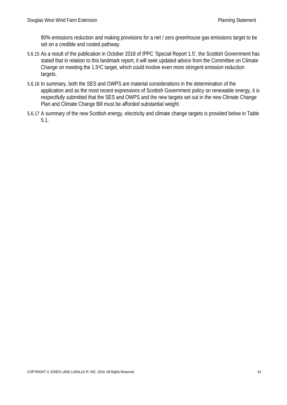90% emissions reduction and making provisions for a net / zero greenhouse gas emissions target to be set on a credible and costed pathway.

- 5.6.15 As a result of the publication in October 2018 of IPPC 'Special Report 1.5', the Scottish Government has stated that in relation to this landmark report, it will seek updated advice from the Committee on Climate Change on meeting the 1.5oC target, which could involve even more stringent emission reduction targets.
- 5.6.16 In summary, both the SES and OWPS are material considerations in the determination of the application and as the most recent expressions of Scottish Government policy on renewable energy, it is respectfully submitted that the SES and OWPS and the new targets set out in the new Climate Change Plan and Climate Change Bill must be afforded substantial weight.
- 5.6.17 A summary of the new Scottish energy, electricity and climate change targets is provided below in Table 5.1.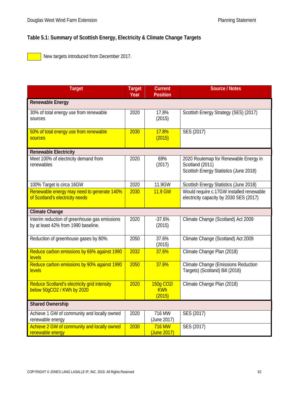# **Table 5.1: Summary of Scottish Energy, Electricity & Climate Change Targets**

New targets introduced from December 2017.

| <b>Target</b>                                                                        | <b>Target</b><br>Year | <b>Current</b><br><b>Position</b>              | <b>Source / Notes</b>                                                                              |  |  |  |
|--------------------------------------------------------------------------------------|-----------------------|------------------------------------------------|----------------------------------------------------------------------------------------------------|--|--|--|
| <b>Renewable Energy</b>                                                              |                       |                                                |                                                                                                    |  |  |  |
| 30% of total energy use from renewable<br>sources                                    | 2020                  | 17.8%<br>(2015)                                | Scottish Energy Strategy (SES) (2017)                                                              |  |  |  |
| 50% of total energy use from renewable<br>sources                                    | 2030                  | 17.8%<br>(2015)                                | SES (2017)                                                                                         |  |  |  |
| <b>Renewable Electricity</b>                                                         |                       |                                                |                                                                                                    |  |  |  |
| Meet 100% of electricity demand from<br>renewables                                   | 2020                  | 69%<br>(2017)                                  | 2020 Routemap for Renewable Energy in<br>Scotland (2011)<br>Scottish Energy Statistics (June 2018) |  |  |  |
| 100% Target is circa 16GW                                                            | 2020                  | 11.9GW                                         | Scottish Energy Statistics (June 2018)                                                             |  |  |  |
| Renewable energy may need to generate 140%<br>of Scotland's electricity needs        | 2030                  | 11.9 GW                                        | Would require c.17GW installed renewable<br>electricity capacity by 2030 SES (2017)                |  |  |  |
| <b>Climate Change</b>                                                                |                       |                                                |                                                                                                    |  |  |  |
| Interim reduction of greenhouse gas emissions<br>by at least 42% from 1990 baseline. | 2020                  | $-37.6%$<br>(2015)                             | Climate Change (Scotland) Act 2009                                                                 |  |  |  |
| Reduction of greenhouse gases by 80%.                                                | 2050                  | 37.6%<br>(2015)                                | Climate Change (Scotland) Act 2009                                                                 |  |  |  |
| Reduce carbon emissions by 66% against 1990<br><b>levels</b>                         | 2032                  | 37.6%                                          | Climate Change Plan (2018)                                                                         |  |  |  |
| Reduce carbon emissions by 90% against 1990<br><b>levels</b>                         | 2050                  | 37.6%                                          | <b>Climate Change (Emissions Reduction</b><br>Targets) (Scotland) Bill (2018)                      |  |  |  |
| Reduce Scotland's electricity grid intensity<br>below 50gCO2 / KWh by 2020           | 2020                  | 150g CO <sub>2</sub> /<br><b>KWh</b><br>(2015) | Climate Change Plan (2018)                                                                         |  |  |  |
| <b>Shared Ownership</b>                                                              |                       |                                                |                                                                                                    |  |  |  |
| Achieve 1 GW of community and locally owned<br>renewable energy                      | 2020                  | 716 MW<br>(June 2017)                          | SES (2017)                                                                                         |  |  |  |
| Achieve 2 GW of community and locally owned<br>renewable energy                      | 2030                  | <b>716 MW</b><br>(June 2017)                   | SES (2017)                                                                                         |  |  |  |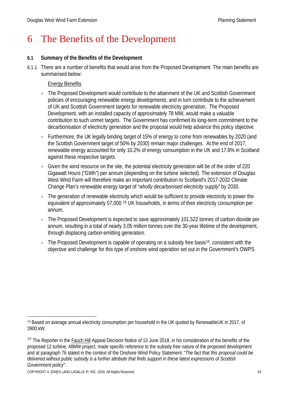# 6 The Benefits of the Development

# **6.1 Summary of the Benefits of the Development**

6.1.1 There are a number of benefits that would arise from the Proposed Development. The main benefits are summarised below:

# Energy Benefits

- The Proposed Development would contribute to the attainment of the UK and Scottish Government policies of encouraging renewable energy developments; and in turn contribute to the achievement of UK and Scottish Government targets for renewable electricity generation. The Proposed Development, with an installed capacity of approximately 78 MW, would make a valuable contribution to such unmet targets. The Government has confirmed its long-term commitment to the decarbonisation of electricity generation and the proposal would help advance this policy objective.
- Furthermore, the UK legally binding target of 15% of energy to come from renewables by 2020 (and the Scottish Government target of 50% by 2030) remain major challenges. At the end of 2017, renewable energy accounted for only 10.2% of energy consumption in the UK and 17.8% in Scotland against these respective targets.
- Given the wind resource on the site, the potential electricity generation will be of the order of 220 Gigawatt Hours ("GWh") per annum (depending on the turbine selected). The extension of Douglas West Wind Farm will therefore make an important contribution to Scotland's 2017-2032 Climate Change Plan's renewable energy target of "*wholly decarbonised electricity supply*" by 2030.
- The generation of renewable electricity which would be sufficient to provide electricity to power the equivalent of approximately 57,000 [18](#page-63-0) UK households, in terms of their electricity consumption per annum.
- The Proposed Development is expected to save approximately 101,522 tonnes of carbon dioxide per annum, resulting in a total of nearly 3.05 million tonnes over the 30-year lifetime of the development, through displacing carbon-emitting generation.
- The Proposed Development is capable of operating on a subsidy free basis<sup>19</sup>, consistent with the objective and challenge for this type of onshore wind operation set out in the Government's OWPS.

<span id="page-63-0"></span><sup>18</sup> Based on average annual electricity consumption per household in the UK quoted by RenewableUK in 2017, of 3900 kW.

<span id="page-63-1"></span><sup>&</sup>lt;sup>19</sup> The Reporter in the Fauch Hill Appeal Decision Notice of 13 June 2018, in his consideration of the benefits of the proposed 12 turbine, 48MW project, made specific reference to the subsidy free nature of the proposed development and at paragraph 76 stated in the context of the Onshore Wind Policy Statement: "*The fact that this proposal could be delivered without public subsidy is a further attribute that finds support in these latest expressions of Scottish Government policy".*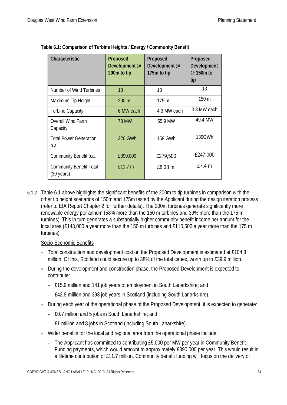| Characteristic                                         | Proposed<br>Development @<br>200m to tip | Proposed<br>Development @<br>175m to tip | Proposed<br>Development<br>@ 150m to<br>tip |
|--------------------------------------------------------|------------------------------------------|------------------------------------------|---------------------------------------------|
| Number of Wind Turbines                                | 13                                       | 13                                       | 13                                          |
| Maximum Tip Height                                     | 200 m                                    | 175 m                                    | 150 m                                       |
| <b>Turbine Capacity</b>                                | 6 MW each                                | 4.3 MW each                              | 3.8 MW each                                 |
| <b>Overall Wind Farm</b><br>Capacity                   | <b>78 MW</b>                             | 55.9 MW                                  | 49.4 MW                                     |
| <b>Total Power Generation</b><br>p.a.                  | <b>220 GWh</b>                           | 158 GWh                                  | 139GWh                                      |
| Community Benefit p.a.                                 | £390,000                                 | £279,500                                 | £247,000                                    |
| <b>Community Benefit Total</b><br>$(30 \text{ years})$ | £11.7 m                                  | £8.38 m                                  | E7.4 m                                      |

| Table 6.1: Comparison of Turbine Heights / Energy / Community Benefit |  |  |
|-----------------------------------------------------------------------|--|--|
|                                                                       |  |  |
|                                                                       |  |  |
|                                                                       |  |  |

6.1.2 Table 6.1 above highlights the significant benefits of the 200m to tip turbines in comparison with the other tip height scenarios of 150m and 175m tested by the Applicant during the design iteration process (refer to EIA Report Chapter 2 for further details). The 200m turbines generate significantly more renewable energy per annum (58% more than the 150 m turbines and 39% more than the 175 m turbines). This in turn generates a substantially higher community benefit income per annum for the local area (£143,000 a year more than the 150 m turbines and £110,500 a year more than the 175 m turbines).

#### Socio-Economic Benefits

- Total construction and development cost on the Proposed Development is estimated at £104.3 million. Of this, Scotland could secure up to 38% of the total capex, worth up to £39.9 million.
- During the development and construction phase, the Proposed Development is expected to contribute:
	- £15.9 million and 141 job years of employment in South Lanarkshire; and
	- £42.8 million and 393 job years in Scotland (including South Lanarkshire).
- During each year of the operational phase of the Proposed Development, it is expected to generate:
	- £0.7 million and 5 jobs in South Lanarkshire; and
	- £1 million and 8 jobs in Scotland (including South Lanarkshire).
- Wider benefits for the local and regional area from the operational phase include:
	- The Applicant has committed to contributing £5,000 per MW per year in Community Benefit Funding payments, which would amount to approximately £390,000 per year. This would result in a lifetime contribution of £11.7 million. Community benefit funding will focus on the delivery of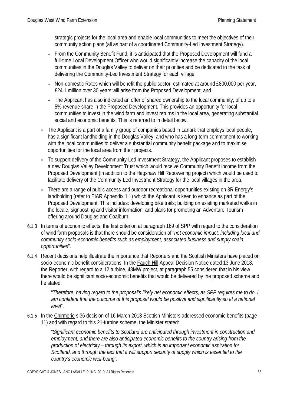strategic projects for the local area and enable local communities to meet the objectives of their community action plans (all as part of a coordinated Community-Led Investment Strategy).

- From the Community Benefit Fund, it is anticipated that the Proposed Development will fund a full-time Local Development Officer who would significantly increase the capacity of the local communities in the Douglas Valley to deliver on their priorities and be dedicated to the task of delivering the Community-Led Investment Strategy for each village.
- Non-domestic Rates which will benefit the public sector: estimated at around £800,000 per year, £24.1 million over 30 years will arise from the Proposed Development; and
- The Applicant has also indicated an offer of shared ownership to the local community, of up to a 5% revenue share in the Proposed Development. This provides an opportunity for local communities to invest in the wind farm and invest returns in the local area, generating substantial social and economic benefits. This is referred to in detail below.
- The Applicant is a part of a family group of companies based in Lanark that employs local people, has a significant landholding in the Douglas Valley, and who has a long-term commitment to working with the local communities to deliver a substantial community benefit package and to maximise opportunities for the local area from their projects.
- To support delivery of the Community-Led Investment Strategy, the Applicant proposes to establish a new Douglas Valley Development Trust which would receive Community Benefit income from the Proposed Development (in addition to the Hagshaw Hill Repowering project) which would be used to facilitate delivery of the Community-Led Investment Strategy for the local villages in the area.
- There are a range of public access and outdoor recreational opportunities existing on 3R Energy's landholding (refer to EIAR Appendix 1.1) which the Applicant is keen to enhance as part of the Proposed Development. This includes: developing bike trails; building on existing marketed walks in the locale, signposting and visitor information; and plans for promoting an Adventure Tourism offering around Douglas and Coalburn.
- 6.1.3 In terms of economic effects, the first criterion at paragraph 169 of SPP with regard to the consideration of wind farm proposals is that there should be consideration of "*net economic impact, including local and community socio-economic benefits such as employment, associated business and supply chain opportunities*".
- 6.1.4 Recent decisions help illustrate the importance that Reporters and the Scottish Ministers have placed on socio-economic benefit considerations. In the Fauch Hill Appeal Decision Notice dated 13 June 2018, the Reporter, with regard to a 12 turbine, 48MW project, at paragraph 55 considered that in his view there would be significant socio-economic benefits that would be delivered by the proposed scheme and he stated:

"*Therefore, having regard to the proposal's likely net economic effects, as SPP requires me to do, I am confident that the outcome of this proposal would be positive and significantly so at a national level*".

6.1.5 In the Chirmorie s.36 decision of 16 March 2018 Scottish Ministers addressed economic benefits (page 11) and with regard to this 21-turbine scheme, the Minister stated:

> "*Significant economic benefits to Scotland are anticipated through investment in construction and employment, and there are also anticipated economic benefits to the country arising from the production of electricity – through its export, which is an important economic aspiration for Scotland, and through the fact that it will support security of supply which is essential to the country's economic well-being*".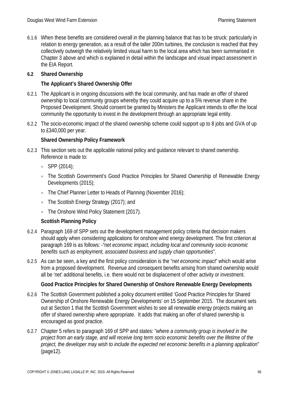6.1.6 When these benefits are considered overall in the planning balance that has to be struck: particularly in relation to energy generation, as a result of the taller 200m turbines, the conclusion is reached that they collectively outweigh the relatively limited visual harm to the local area which has been summarised in Chapter 3 above and which is explained in detail within the landscape and visual impact assessment in the EIA Report.

# **6.2 Shared Ownership**

# **The Applicant's Shared Ownership Offer**

- 6.2.1 The Applicant is in ongoing discussions with the local community, and has made an offer of shared ownership to local community groups whereby they could acquire up to a 5% revenue share in the Proposed Development. Should consent be granted by Ministers the Applicant intends to offer the local community the opportunity to invest in the development through an appropriate legal entity.
- 6.2.2 The socio-economic impact of the shared ownership scheme could support up to 8 jobs and GVA of up to £340,000 per year.

# **Shared Ownership Policy Framework**

- 6.2.3 This section sets out the applicable national policy and guidance relevant to shared ownership. Reference is made to:
	- SPP (2014);
	- The Scottish Government's Good Practice Principles for Shared Ownership of Renewable Energy Developments (2015);
	- The Chief Planner Letter to Heads of Planning (November 2016);
	- The Scottish Energy Strategy (2017); and
	- The Onshore Wind Policy Statement (2017).

# **Scottish Planning Policy**

- 6.2.4 Paragraph 169 of SPP sets out the development management policy criteria that decision makers should apply when considering applications for onshore wind energy development. The first criterion at paragraph 169 is as follows: -"*net economic impact, including local and community socio economic benefits such as employment, associated business and supply chain opportunities*".
- 6.2.5 As can be seen, a key and the first policy consideration is the "*net economic impact*" which would arise from a proposed development. Revenue and consequent benefits arising from shared ownership would all be 'net' additional benefits, i.e. there would not be displacement of other activity or investment.

# **Good Practice Principles for Shared Ownership of Onshore Renewable Energy Developments**

- 6.2.6 The Scottish Government published a policy document entitled 'Good Practice Principles for Shared Ownership of Onshore Renewable Energy Developments' on 15 September 2015. The document sets out at Section 1 that the Scottish Government wishes to see all renewable energy projects making an offer of shared ownership where appropriate. It adds that making an offer of shared ownership is encouraged as good practice.
- 6.2.7 Chapter 5 refers to paragraph 169 of SPP and states: "*where a community group is involved in the project from an early stage, and will receive long term socio economic benefits over the lifetime of the project, the developer may wish to include the expected net economic benefits in a planning application*" (page12).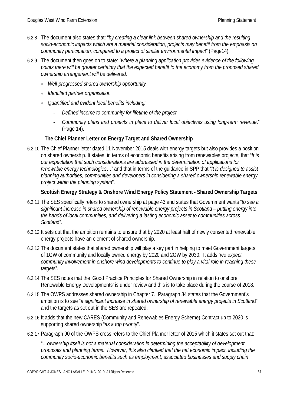- 6.2.8 The document also states that: "*by creating a clear link between shared ownership and the resulting socio-economic impacts which are a material consideration, projects may benefit from the emphasis on community participation, compared to a project of similar environmental impact*" (Page14).
- 6.2.9 The document then goes on to state: *"where a planning application provides evidence of the following points there will be greater certainty that the expected benefit to the economy from the proposed shared ownership arrangement will be delivered.*
	- *Well-progressed shared ownership opportunity*
	- *Identified partner organisation*
	- *Quantified and evident local benefits including:*
		- *Defined income to community for lifetime of the project*
		- *Community plans and projects in place to deliver local objectives using long-term revenue*." (Page 14).

### **The Chief Planner Letter on Energy Target and Shared Ownership**

6.2.10 The Chief Planner letter dated 11 November 2015 deals with energy targets but also provides a position on shared ownership. It states, in terms of economic benefits arising from renewables projects, that "*It is our expectation that such considerations are addressed in the determination of applications for renewable energy technologies*…" and that in terms of the guidance in SPP that *"It is designed to assist planning authorities, communities and developers in considering a shared ownership renewable energy project within the planning system*".

### **Scottish Energy Strategy & Onshore Wind Energy Policy Statement - Shared Ownership Targets**

- 6.2.11 The SES specifically refers to shared ownership at page 43 and states that Government wants "*to see a significant increase in shared ownership of renewable energy projects in Scotland – putting energy into the hands of local communities, and delivering a lasting economic asset to communities across Scotlan*d".
- 6.2.12 It sets out that the ambition remains to ensure that by 2020 at least half of newly consented renewable energy projects have an element of shared ownership.
- 6.2.13 The document states that shared ownership will play a key part in helping to meet Government targets of 1GW of community and locally owned energy by 2020 and 2GW by 2030. It adds "*we expect community involvement in onshore wind developments to continue to play a vital role in reaching these target*s".
- 6.2.14 The SES notes that the 'Good Practice Principles for Shared Ownership in relation to onshore Renewable Energy Developments' is under review and this is to take place during the course of 2018.
- 6.2.15 The OWPS addresses shared ownership in Chapter 7. Paragraph 84 states that the Government's ambition is to see "*a significant increase in shared ownership of renewable energy projects in Scotlan*d" and the targets as set out in the SES are repeated.
- 6.2.16 It adds that the new CARES (Community and Renewables Energy Scheme) Contract up to 2020 is supporting shared ownership "*as a top prior*ity".
- 6.2.17 Paragraph 90 of the OWPS cross refers to the Chief Planner letter of 2015 which it states set out that:

"…*ownership itself is not a material consideration in determining the acceptability of development proposals and planning terms. However, this also clarified that the net economic impact, including the community socio-economic benefits such as employment, associated businesses and supply chain*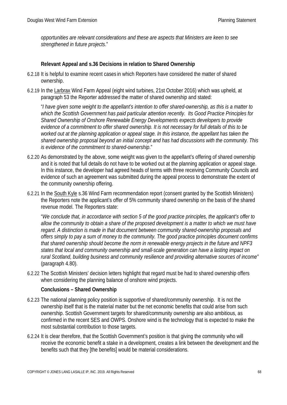*opportunities are relevant considerations and these are aspects that Ministers are keen to see strengthened in future projects*."

# **Relevant Appeal and s.36 Decisions in relation to Shared Ownership**

- 6.2.18 It is helpful to examine recent cases in which Reporters have considered the matter of shared ownership.
- 6.2.19 In the Larbrax Wind Farm Appeal (eight wind turbines, 21st October 2016) which was upheld, at paragraph 53 the Reporter addressed the matter of shared ownership and stated:

"*I have given some weight to the appellant's intention to offer shared-ownership, as this is a matter to which the Scottish Government has paid particular attention recently. Its Good Practice Principles for Shared Ownership of Onshore Renewable Energy Developments expects developers to provide evidence of a commitment to offer shared ownership. It is not necessary for full details of this to be worked out at the planning application or appeal stage. In this instance, the appellant has taken the shared ownership proposal beyond an initial concept and has had discussions with the community. This is evidence of the commitment to shared-ownership*."

- 6.2.20 As demonstrated by the above, some weight was given to the appellant's offering of shared ownership and it is noted that full details do not have to be worked out at the planning application or appeal stage. In this instance, the developer had agreed heads of terms with three receiving Community Councils and evidence of such an agreement was submitted during the appeal process to demonstrate the extent of the community ownership offering.
- 6.2.21 In the South Kyle s.36 Wind Farm recommendation report (consent granted by the Scottish Ministers) the Reporters note the applicant's offer of 5% community shared ownership on the basis of the shared revenue model. The Reporters state:

"*We conclude that, in accordance with section 5 of the good practice principles, the applicant's offer to allow the community to obtain a share of the proposed development is a matter to which we must have regard. A distinction is made in that document between community shared-ownership proposals and offers simply to pay a sum of money to the community. The good practice principles document confirms that shared ownership should become the norm in renewable energy projects in the future and NPF3 states that local and community ownership and small-scale generation can have a lasting impact on rural Scotland, building business and community resilience and providing alternative sources of income"* (paragraph 4.80).

6.2.22 The Scottish Ministers' decision letters highlight that regard must be had to shared ownership offers when considering the planning balance of onshore wind projects.

#### **Conclusions – Shared Ownership**

- 6.2.23 The national planning policy position is supportive of shared/community ownership. It is not the ownership itself that is the material matter but the net economic benefits that could arise from such ownership. Scottish Government targets for shared/community ownership are also ambitious, as confirmed in the recent SES and OWPS. Onshore wind is the technology that is expected to make the most substantial contribution to those targets.
- 6.2.24 It is clear therefore, that the Scottish Government's position is that giving the community who will receive the economic benefit a stake in a development, creates a link between the development and the benefits such that they [the benefits] would be material considerations.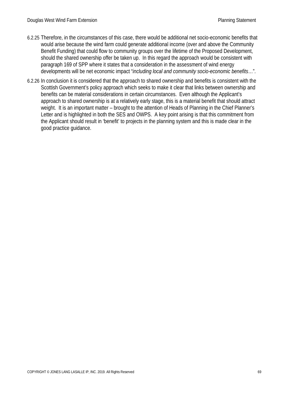- 6.2.25 Therefore, in the circumstances of this case, there would be additional net socio-economic benefits that would arise because the wind farm could generate additional income (over and above the Community Benefit Funding) that could flow to community groups over the lifetime of the Proposed Development, should the shared ownership offer be taken up. In this regard the approach would be consistent with paragraph 169 of SPP where it states that a consideration in the assessment of wind energy developments will be net economic impact "*including local and community socio-economic benefits*…".
- 6.2.26 In conclusion it is considered that the approach to shared ownership and benefits is consistent with the Scottish Government's policy approach which seeks to make it clear that links between ownership and benefits can be material considerations in certain circumstances. Even although the Applicant's approach to shared ownership is at a relatively early stage, this is a material benefit that should attract weight. It is an important matter – brought to the attention of Heads of Planning in the Chief Planner's Letter and is highlighted in both the SES and OWPS. A key point arising is that this commitment from the Applicant should result in 'benefit' to projects in the planning system and this is made clear in the good practice guidance.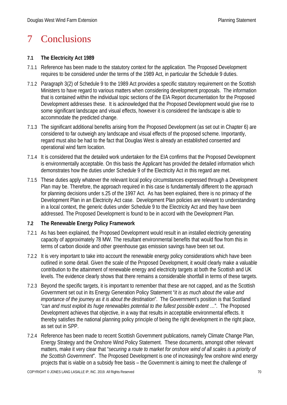# 7 Conclusions

# **7.1 The Electricity Act 1989**

- 7.1.1 Reference has been made to the statutory context for the application. The Proposed Development requires to be considered under the terms of the 1989 Act, in particular the Schedule 9 duties.
- 7.1.2 Paragraph 3(2) of Schedule 9 to the 1989 Act provides a specific statutory requirement on the Scottish Ministers to have regard to various matters when considering development proposals. The information that is contained within the individual topic sections of the EIA Report documentation for the Proposed Development addresses these. It is acknowledged that the Proposed Development would give rise to some significant landscape and visual effects, however it is considered the landscape is able to accommodate the predicted change.
- 7.1.3 The significant additional benefits arising from the Proposed Development (as set out in Chapter 6) are considered to far outweigh any landscape and visual effects of the proposed scheme. Importantly, regard must also be had to the fact that Douglas West is already an established consented and operational wind farm location.
- 7.1.4 It is considered that the detailed work undertaken for the EIA confirms that the Proposed Development is environmentally acceptable. On this basis the Applicant has provided the detailed information which demonstrates how the duties under Schedule 9 of the Electricity Act in this regard are met.
- 7.1.5 These duties apply whatever the relevant local policy circumstances expressed through a Development Plan may be. Therefore, the approach required in this case is fundamentally different to the approach for planning decisions under s.25 of the 1997 Act. As has been explained, there is no primacy of the Development Plan in an Electricity Act case. Development Plan policies are relevant to understanding in a local context, the generic duties under Schedule 9 to the Electricity Act and they have been addressed. The Proposed Development is found to be in accord with the Development Plan.

# **7.2 The Renewable Energy Policy Framework**

- 7.2.1 As has been explained, the Proposed Development would result in an installed electricity generating capacity of approximately 78 MW. The resultant environmental benefits that would flow from this in terms of carbon dioxide and other greenhouse gas emission savings have been set out.
- 7.2.2 It is very important to take into account the renewable energy policy considerations which have been outlined in some detail. Given the scale of the Proposed Development, it would clearly make a valuable contribution to the attainment of renewable energy and electricity targets at both the Scottish and UK levels. The evidence clearly shows that there remains a considerable shortfall in terms of these targets.
- 7.2.3 Beyond the specific targets, it is important to remember that these are not capped, and as the Scottish Government set out in its Energy Generation Policy Statement "*it is as much about the value and importance of the journey as it is about the destination*". The Government's position is that Scotland "*can and must exploit its huge renewables potential to the fullest possible extent* …". The Proposed Development achieves that objective, in a way that results in acceptable environmental effects. It thereby satisfies the national planning policy principle of being the right development in the right place, as set out in SPP.
- 7.2.4 Reference has been made to recent Scottish Government publications, namely Climate Change Plan, Energy Strategy and the Onshore Wind Policy Statement. These documents, amongst other relevant matters, make it very clear that "*securing a route to market for onshore wind of all scales is a priority of the Scottish Government*". The Proposed Development is one of increasingly few onshore wind energy projects that is viable on a subsidy free basis – the Government is aiming to meet the challenge of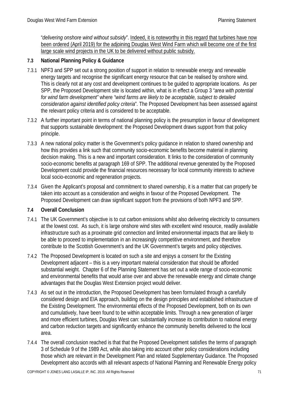"*delivering onshore wind without subsidy*". Indeed, it is noteworthy in this regard that turbines have now been ordered (April 2019) for the adjoining Douglas West Wind Farm which will become one of the first large scale wind projects in the UK to be delivered without public subsidy.

# **7.3 National Planning Policy & Guidance**

- 7.3.1 NPF3 and SPP set out a strong position of support in relation to renewable energy and renewable energy targets and recognise the significant energy resource that can be realised by onshore wind. This is clearly not at any cost and development continues to be guided to appropriate locations. As per SPP, the Proposed Development site is located within, what is in effect a Group 3 "*area with potential for wind farm development"* where *"wind farms are likely to be acceptable, subject to detailed consideration against identified policy criteria*". The Proposed Development has been assessed against the relevant policy criteria and is considered to be acceptable.
- 7.3.2 A further important point in terms of national planning policy is the presumption in favour of development that supports sustainable development: the Proposed Development draws support from that policy principle.
- 7.3.3 A new national policy matter is the Government's policy guidance in relation to shared ownership and how this provides a link such that community socio-economic benefits become material in planning decision making. This is a new and important consideration. It links to the consideration of community socio-economic benefits at paragraph 169 of SPP. The additional revenue generated by the Proposed Development could provide the financial resources necessary for local community interests to achieve local socio-economic and regeneration projects.
- 7.3.4 Given the Applicant's proposal and commitment to shared ownership, it is a matter that can properly be taken into account as a consideration and weighs in favour of the Proposed Development. The Proposed Development can draw significant support from the provisions of both NPF3 and SPP.

# **7.4 Overall Conclusion**

- 7.4.1 The UK Government's objective is to cut carbon emissions whilst also delivering electricity to consumers at the lowest cost. As such, it is large onshore wind sites with excellent wind resource, readily available infrastructure such as a proximate grid connection and limited environmental impacts that are likely to be able to proceed to implementation in an increasingly competitive environment, and therefore contribute to the Scottish Government's and the UK Government's targets and policy objectives.
- 7.4.2 The Proposed Development is located on such a site and enjoys a consent for the Existing Development adjacent – this is a very important material consideration that should be afforded substantial weight. Chapter 6 of the Planning Statement has set out a wide range of socio-economic and environmental benefits that would arise over and above the renewable energy and climate change advantages that the Douglas West Extension project would deliver.
- 7.4.3 As set out in the introduction, the Proposed Development has been formulated through a carefully considered design and EIA approach, building on the design principles and established infrastructure of the Existing Development. The environmental effects of the Proposed Development, both on its own and cumulatively, have been found to be within acceptable limits. Through a new generation of larger and more efficient turbines, Douglas West can: substantially increase its contribution to national energy and carbon reduction targets and significantly enhance the community benefits delivered to the local area.
- 7.4.4 The overall conclusion reached is that that the Proposed Development satisfies the terms of paragraph 3 of Schedule 9 of the 1989 Act, while also taking into account other policy considerations including those which are relevant in the Development Plan and related Supplementary Guidance. The Proposed Development also accords with all relevant aspects of National Planning and Renewable Energy policy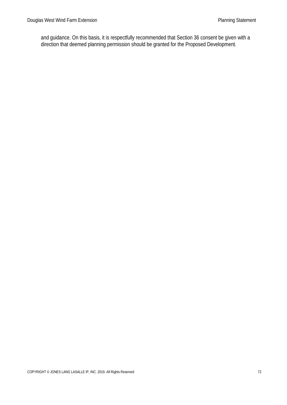and guidance. On this basis, it is respectfully recommended that Section 36 consent be given with a direction that deemed planning permission should be granted for the Proposed Development.